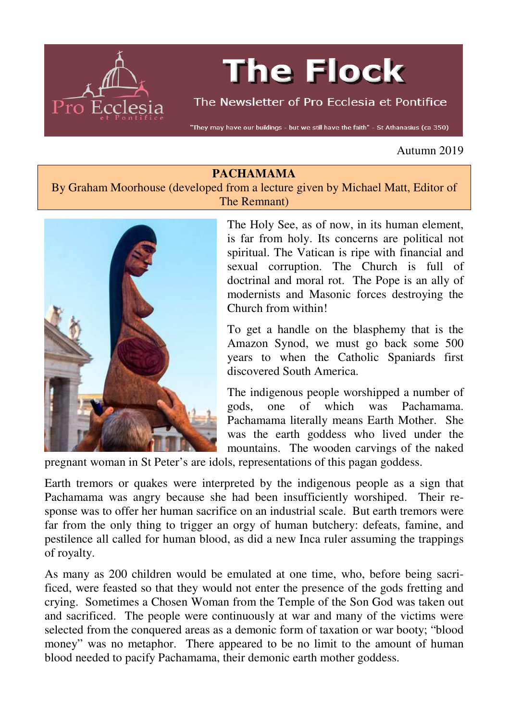

# **The Flock**

The Newsletter of Pro Ecclesia et Pontifice

"They may have our buildings - but we still have the faith" - St Athanasius (ca 350)

Autumn 2019

## **PACHAMAMA**

By Graham Moorhouse (developed from a lecture given by Michael Matt, Editor of The Remnant)



The Holy See, as of now, in its human element, is far from holy. Its concerns are political not spiritual. The Vatican is ripe with financial and sexual corruption. The Church is full of doctrinal and moral rot. The Pope is an ally of modernists and Masonic forces destroying the Church from within!

To get a handle on the blasphemy that is the Amazon Synod, we must go back some 500 years to when the Catholic Spaniards first discovered South America.

The indigenous people worshipped a number of gods, one of which was Pachamama. Pachamama literally means Earth Mother. She was the earth goddess who lived under the mountains. The wooden carvings of the naked

pregnant woman in St Peter's are idols, representations of this pagan goddess.

Earth tremors or quakes were interpreted by the indigenous people as a sign that Pachamama was angry because she had been insufficiently worshiped. Their response was to offer her human sacrifice on an industrial scale. But earth tremors were far from the only thing to trigger an orgy of human butchery: defeats, famine, and pestilence all called for human blood, as did a new Inca ruler assuming the trappings of royalty.

As many as 200 children would be emulated at one time, who, before being sacrificed, were feasted so that they would not enter the presence of the gods fretting and crying. Sometimes a Chosen Woman from the Temple of the Son God was taken out and sacrificed. The people were continuously at war and many of the victims were selected from the conquered areas as a demonic form of taxation or war booty; "blood money" was no metaphor. There appeared to be no limit to the amount of human blood needed to pacify Pachamama, their demonic earth mother goddess.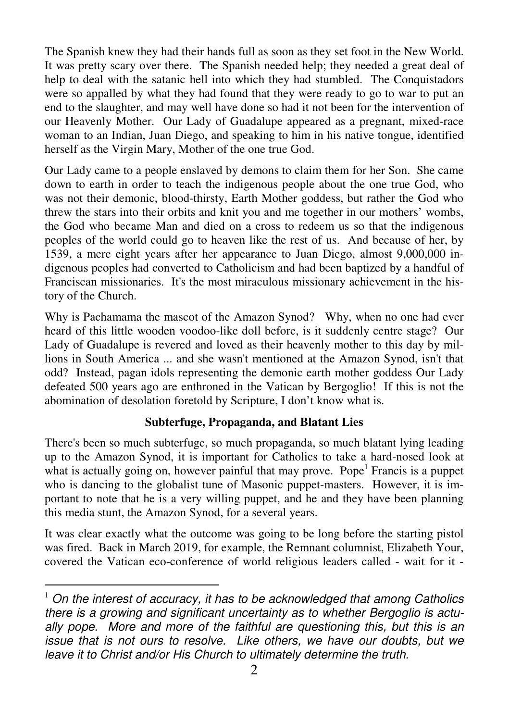The Spanish knew they had their hands full as soon as they set foot in the New World. It was pretty scary over there. The Spanish needed help; they needed a great deal of help to deal with the satanic hell into which they had stumbled. The Conquistadors were so appalled by what they had found that they were ready to go to war to put an end to the slaughter, and may well have done so had it not been for the intervention of our Heavenly Mother. Our Lady of Guadalupe appeared as a pregnant, mixed-race woman to an Indian, Juan Diego, and speaking to him in his native tongue, identified herself as the Virgin Mary, Mother of the one true God.

Our Lady came to a people enslaved by demons to claim them for her Son. She came down to earth in order to teach the indigenous people about the one true God, who was not their demonic, blood-thirsty, Earth Mother goddess, but rather the God who threw the stars into their orbits and knit you and me together in our mothers' wombs, the God who became Man and died on a cross to redeem us so that the indigenous peoples of the world could go to heaven like the rest of us. And because of her, by 1539, a mere eight years after her appearance to Juan Diego, almost 9,000,000 indigenous peoples had converted to Catholicism and had been baptized by a handful of Franciscan missionaries. It's the most miraculous missionary achievement in the history of the Church.

Why is Pachamama the mascot of the Amazon Synod? Why, when no one had ever heard of this little wooden voodoo-like doll before, is it suddenly centre stage? Our Lady of Guadalupe is revered and loved as their heavenly mother to this day by millions in South America ... and she wasn't mentioned at the Amazon Synod, isn't that odd? Instead, pagan idols representing the demonic earth mother goddess Our Lady defeated 500 years ago are enthroned in the Vatican by Bergoglio! If this is not the abomination of desolation foretold by Scripture, I don't know what is.

## **Subterfuge, Propaganda, and Blatant Lies**

There's been so much subterfuge, so much propaganda, so much blatant lying leading up to the Amazon Synod, it is important for Catholics to take a hard-nosed look at what is actually going on, however painful that may prove. Pope<sup>1</sup> Francis is a puppet who is dancing to the globalist tune of Masonic puppet-masters. However, it is important to note that he is a very willing puppet, and he and they have been planning this media stunt, the Amazon Synod, for a several years.

It was clear exactly what the outcome was going to be long before the starting pistol was fired. Back in March 2019, for example, the Remnant columnist, Elizabeth Your, covered the Vatican eco-conference of world religious leaders called - wait for it -

 $\overline{a}$ 

 $1$  On the interest of accuracy, it has to be acknowledged that among Catholics there is a growing and significant uncertainty as to whether Bergoglio is actually pope. More and more of the faithful are questioning this, but this is an issue that is not ours to resolve. Like others, we have our doubts, but we leave it to Christ and/or His Church to ultimately determine the truth.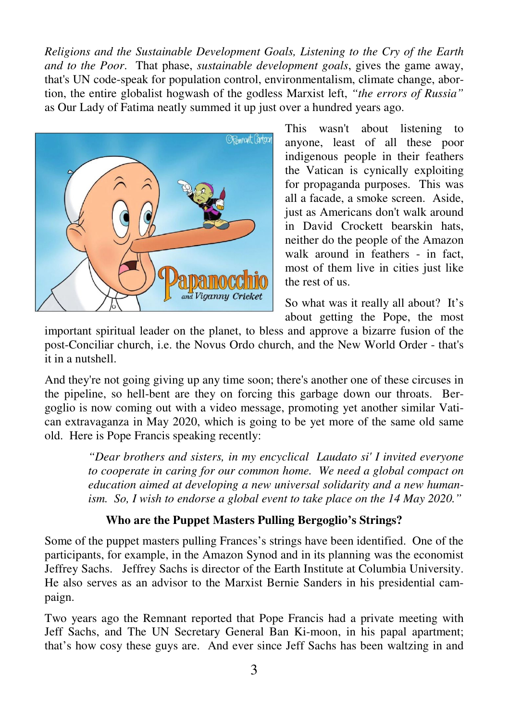*Religions and the Sustainable Development Goals, Listening to the Cry of the Earth and to the Poor*. That phase, *sustainable development goals*, gives the game away, that's UN code-speak for population control, environmentalism, climate change, abortion, the entire globalist hogwash of the godless Marxist left, *"the errors of Russia"* as Our Lady of Fatima neatly summed it up just over a hundred years ago.



This wasn't about listening to anyone, least of all these poor indigenous people in their feathers the Vatican is cynically exploiting for propaganda purposes. This was all a facade, a smoke screen. Aside, just as Americans don't walk around in David Crockett bearskin hats, neither do the people of the Amazon walk around in feathers - in fact, most of them live in cities just like the rest of us.

So what was it really all about? It's about getting the Pope, the most

important spiritual leader on the planet, to bless and approve a bizarre fusion of the post-Conciliar church, i.e. the Novus Ordo church, and the New World Order - that's it in a nutshell.

And they're not going giving up any time soon; there's another one of these circuses in the pipeline, so hell-bent are they on forcing this garbage down our throats. Bergoglio is now coming out with a video message, promoting yet another similar Vatican extravaganza in May 2020, which is going to be yet more of the same old same old. Here is Pope Francis speaking recently:

> *"Dear brothers and sisters, in my encyclical Laudato si' I invited everyone to cooperate in caring for our common home. We need a global compact on education aimed at developing a new universal solidarity and a new humanism. So, I wish to endorse a global event to take place on the 14 May 2020."*

# **Who are the Puppet Masters Pulling Bergoglio's Strings?**

Some of the puppet masters pulling Frances's strings have been identified. One of the participants, for example, in the Amazon Synod and in its planning was the economist Jeffrey Sachs. Jeffrey Sachs is director of the Earth Institute at Columbia University. He also serves as an advisor to the Marxist Bernie Sanders in his presidential campaign.

Two years ago the Remnant reported that Pope Francis had a private meeting with Jeff Sachs, and The UN Secretary General Ban Ki-moon, in his papal apartment; that's how cosy these guys are. And ever since Jeff Sachs has been waltzing in and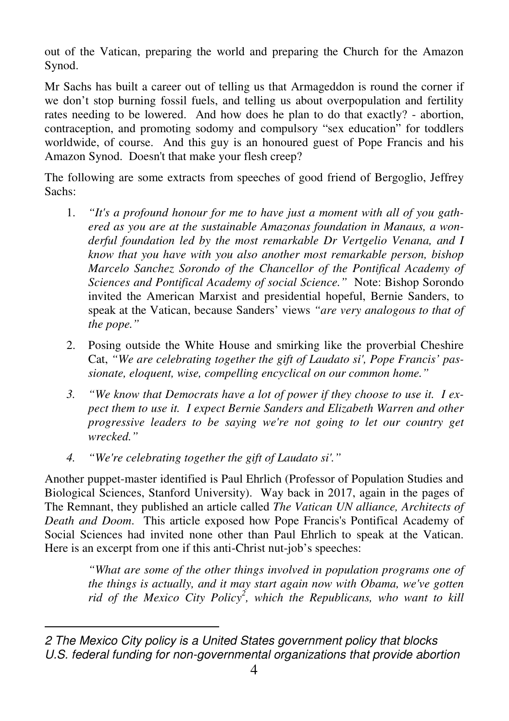out of the Vatican, preparing the world and preparing the Church for the Amazon Synod.

Mr Sachs has built a career out of telling us that Armageddon is round the corner if we don't stop burning fossil fuels, and telling us about overpopulation and fertility rates needing to be lowered. And how does he plan to do that exactly? - abortion, contraception, and promoting sodomy and compulsory "sex education" for toddlers worldwide, of course. And this guy is an honoured guest of Pope Francis and his Amazon Synod. Doesn't that make your flesh creep?

The following are some extracts from speeches of good friend of Bergoglio, Jeffrey Sachs:

- 1. *"It's a profound honour for me to have just a moment with all of you gathered as you are at the sustainable Amazonas foundation in Manaus, a wonderful foundation led by the most remarkable Dr Vertgelio Venana, and I know that you have with you also another most remarkable person, bishop Marcelo Sanchez Sorondo of the Chancellor of the Pontifical Academy of Sciences and Pontifical Academy of social Science."* Note: Bishop Sorondo invited the American Marxist and presidential hopeful, Bernie Sanders, to speak at the Vatican, because Sanders' views *"are very analogous to that of the pope."*
- 2. Posing outside the White House and smirking like the proverbial Cheshire Cat, *"We are celebrating together the gift of Laudato si', Pope Francis' passionate, eloquent, wise, compelling encyclical on our common home."*
- *3. "We know that Democrats have a lot of power if they choose to use it. I expect them to use it. I expect Bernie Sanders and Elizabeth Warren and other progressive leaders to be saying we're not going to let our country get wrecked."*
- *4. "We're celebrating together the gift of Laudato si'."*

Another puppet-master identified is Paul Ehrlich (Professor of Population Studies and Biological Sciences, Stanford University). Way back in 2017, again in the pages of The Remnant, they published an article called *The Vatican UN alliance, Architects of Death and Doom*. This article exposed how Pope Francis's Pontifical Academy of Social Sciences had invited none other than Paul Ehrlich to speak at the Vatican. Here is an excerpt from one if this anti-Christ nut-job's speeches:

> *"What are some of the other things involved in population programs one of the things is actually, and it may start again now with Obama, we've gotten rid of the Mexico City Policy<sup>2</sup> , which the Republicans, who want to kill*

 $\overline{a}$ 2 The Mexico City policy is a United States government policy that blocks U.S. federal funding for non-governmental organizations that provide abortion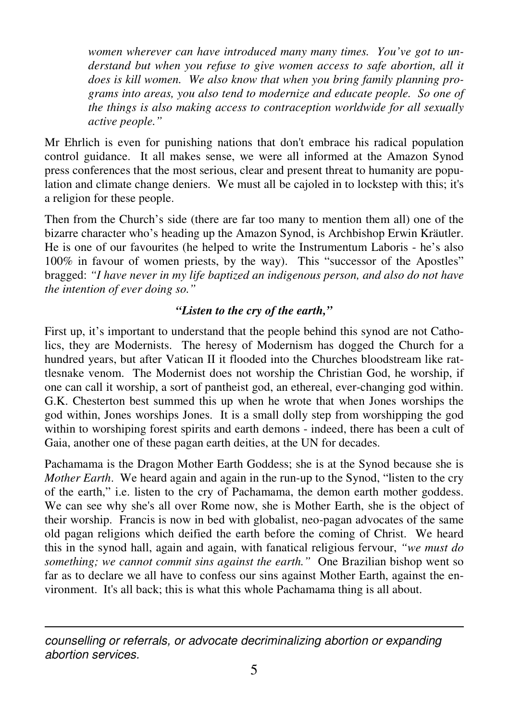*women wherever can have introduced many many times. You've got to un*derstand but when you refuse to give women access to safe abortion, all it *does is kill women. We also know that when you bring family planning programs into areas, you also tend to modernize and educate people. So one of the things is also making access to contraception worldwide for all sexually active people."* 

Mr Ehrlich is even for punishing nations that don't embrace his radical population control guidance. It all makes sense, we were all informed at the Amazon Synod press conferences that the most serious, clear and present threat to humanity are population and climate change deniers. We must all be cajoled in to lockstep with this; it's a religion for these people.

Then from the Church's side (there are far too many to mention them all) one of the bizarre character who's heading up the Amazon Synod, is Archbishop Erwin Kräutler. He is one of our favourites (he helped to write the Instrumentum Laboris - he's also 100% in favour of women priests, by the way). This "successor of the Apostles" bragged: *"I have never in my life baptized an indigenous person, and also do not have the intention of ever doing so."*

# *"Listen to the cry of the earth,"*

First up, it's important to understand that the people behind this synod are not Catholics, they are Modernists. The heresy of Modernism has dogged the Church for a hundred years, but after Vatican II it flooded into the Churches bloodstream like rattlesnake venom. The Modernist does not worship the Christian God, he worship, if one can call it worship, a sort of pantheist god, an ethereal, ever-changing god within. G.K. Chesterton best summed this up when he wrote that when Jones worships the god within, Jones worships Jones. It is a small dolly step from worshipping the god within to worshiping forest spirits and earth demons - indeed, there has been a cult of Gaia, another one of these pagan earth deities, at the UN for decades.

Pachamama is the Dragon Mother Earth Goddess; she is at the Synod because she is *Mother Earth*. We heard again and again in the run-up to the Synod, "listen to the cry of the earth," i.e. listen to the cry of Pachamama, the demon earth mother goddess. We can see why she's all over Rome now, she is Mother Earth, she is the object of their worship. Francis is now in bed with globalist, neo-pagan advocates of the same old pagan religions which deified the earth before the coming of Christ. We heard this in the synod hall, again and again, with fanatical religious fervour, *"we must do something; we cannot commit sins against the earth."* One Brazilian bishop went so far as to declare we all have to confess our sins against Mother Earth, against the environment. It's all back; this is what this whole Pachamama thing is all about.

 $\overline{a}$ counselling or referrals, or advocate decriminalizing abortion or expanding abortion services.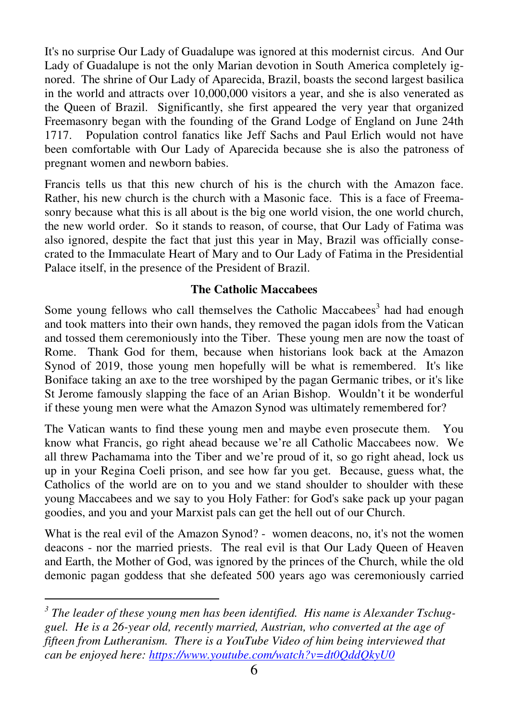It's no surprise Our Lady of Guadalupe was ignored at this modernist circus. And Our Lady of Guadalupe is not the only Marian devotion in South America completely ignored. The shrine of Our Lady of Aparecida, Brazil, boasts the second largest basilica in the world and attracts over 10,000,000 visitors a year, and she is also venerated as the Queen of Brazil. Significantly, she first appeared the very year that organized Freemasonry began with the founding of the Grand Lodge of England on June 24th 1717. Population control fanatics like Jeff Sachs and Paul Erlich would not have been comfortable with Our Lady of Aparecida because she is also the patroness of pregnant women and newborn babies.

Francis tells us that this new church of his is the church with the Amazon face. Rather, his new church is the church with a Masonic face. This is a face of Freemasonry because what this is all about is the big one world vision, the one world church, the new world order. So it stands to reason, of course, that Our Lady of Fatima was also ignored, despite the fact that just this year in May, Brazil was officially consecrated to the Immaculate Heart of Mary and to Our Lady of Fatima in the Presidential Palace itself, in the presence of the President of Brazil.

## **The Catholic Maccabees**

Some young fellows who call themselves the Catholic Maccabees<sup>3</sup> had had enough and took matters into their own hands, they removed the pagan idols from the Vatican and tossed them ceremoniously into the Tiber. These young men are now the toast of Rome. Thank God for them, because when historians look back at the Amazon Synod of 2019, those young men hopefully will be what is remembered. It's like Boniface taking an axe to the tree worshiped by the pagan Germanic tribes, or it's like St Jerome famously slapping the face of an Arian Bishop. Wouldn't it be wonderful if these young men were what the Amazon Synod was ultimately remembered for?

The Vatican wants to find these young men and maybe even prosecute them. You know what Francis, go right ahead because we're all Catholic Maccabees now. We all threw Pachamama into the Tiber and we're proud of it, so go right ahead, lock us up in your Regina Coeli prison, and see how far you get. Because, guess what, the Catholics of the world are on to you and we stand shoulder to shoulder with these young Maccabees and we say to you Holy Father: for God's sake pack up your pagan goodies, and you and your Marxist pals can get the hell out of our Church.

What is the real evil of the Amazon Synod? - women deacons, no, it's not the women deacons - nor the married priests. The real evil is that Our Lady Queen of Heaven and Earth, the Mother of God, was ignored by the princes of the Church, while the old demonic pagan goddess that she defeated 500 years ago was ceremoniously carried

 $\overline{a}$ 

<sup>&</sup>lt;sup>3</sup> The leader of these young men has been identified. His name is Alexander Tschug*guel. He is a 26-year old, recently married, Austrian, who converted at the age of fifteen from Lutheranism. There is a YouTube Video of him being interviewed that can be enjoyed here: https://www.youtube.com/watch?v=dt0QddQkyU0*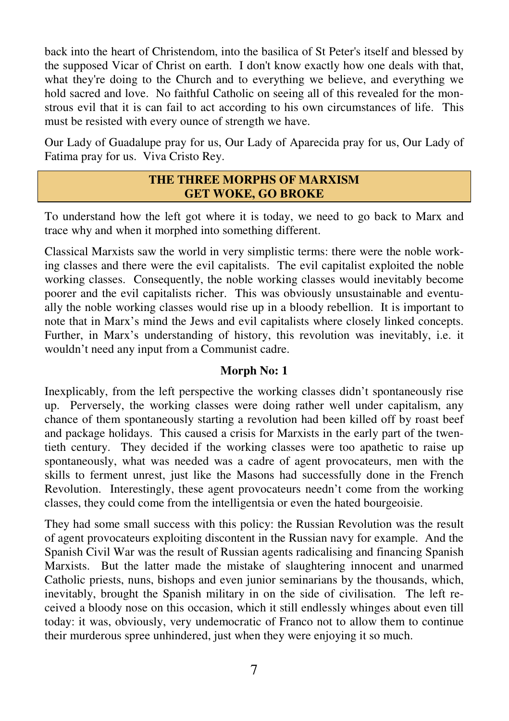back into the heart of Christendom, into the basilica of St Peter's itself and blessed by the supposed Vicar of Christ on earth. I don't know exactly how one deals with that, what they're doing to the Church and to everything we believe, and everything we hold sacred and love. No faithful Catholic on seeing all of this revealed for the monstrous evil that it is can fail to act according to his own circumstances of life. This must be resisted with every ounce of strength we have.

Our Lady of Guadalupe pray for us, Our Lady of Aparecida pray for us, Our Lady of Fatima pray for us. Viva Cristo Rey.

## **THE THREE MORPHS OF MARXISM GET WOKE, GO BROKE**

To understand how the left got where it is today, we need to go back to Marx and trace why and when it morphed into something different.

Classical Marxists saw the world in very simplistic terms: there were the noble working classes and there were the evil capitalists. The evil capitalist exploited the noble working classes. Consequently, the noble working classes would inevitably become poorer and the evil capitalists richer. This was obviously unsustainable and eventually the noble working classes would rise up in a bloody rebellion. It is important to note that in Marx's mind the Jews and evil capitalists where closely linked concepts. Further, in Marx's understanding of history, this revolution was inevitably, i.e. it wouldn't need any input from a Communist cadre.

# **Morph No: 1**

Inexplicably, from the left perspective the working classes didn't spontaneously rise up. Perversely, the working classes were doing rather well under capitalism, any chance of them spontaneously starting a revolution had been killed off by roast beef and package holidays. This caused a crisis for Marxists in the early part of the twentieth century. They decided if the working classes were too apathetic to raise up spontaneously, what was needed was a cadre of agent provocateurs, men with the skills to ferment unrest, just like the Masons had successfully done in the French Revolution. Interestingly, these agent provocateurs needn't come from the working classes, they could come from the intelligentsia or even the hated bourgeoisie.

They had some small success with this policy: the Russian Revolution was the result of agent provocateurs exploiting discontent in the Russian navy for example. And the Spanish Civil War was the result of Russian agents radicalising and financing Spanish Marxists. But the latter made the mistake of slaughtering innocent and unarmed Catholic priests, nuns, bishops and even junior seminarians by the thousands, which, inevitably, brought the Spanish military in on the side of civilisation. The left received a bloody nose on this occasion, which it still endlessly whinges about even till today: it was, obviously, very undemocratic of Franco not to allow them to continue their murderous spree unhindered, just when they were enjoying it so much.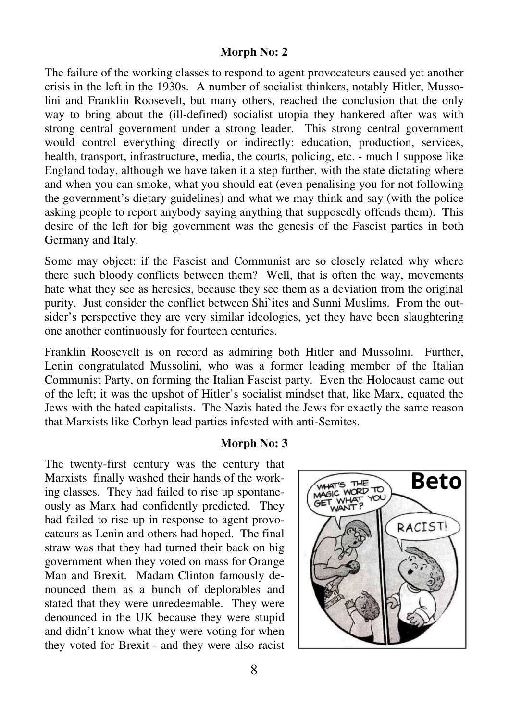## **Morph No: 2**

The failure of the working classes to respond to agent provocateurs caused yet another crisis in the left in the 1930s. A number of socialist thinkers, notably Hitler, Mussolini and Franklin Roosevelt, but many others, reached the conclusion that the only way to bring about the (ill-defined) socialist utopia they hankered after was with strong central government under a strong leader. This strong central government would control everything directly or indirectly: education, production, services, health, transport, infrastructure, media, the courts, policing, etc. - much I suppose like England today, although we have taken it a step further, with the state dictating where and when you can smoke, what you should eat (even penalising you for not following the government's dietary guidelines) and what we may think and say (with the police asking people to report anybody saying anything that supposedly offends them). This desire of the left for big government was the genesis of the Fascist parties in both Germany and Italy.

Some may object: if the Fascist and Communist are so closely related why where there such bloody conflicts between them? Well, that is often the way, movements hate what they see as heresies, because they see them as a deviation from the original purity. Just consider the conflict between Shi`ites and Sunni Muslims. From the outsider's perspective they are very similar ideologies, yet they have been slaughtering one another continuously for fourteen centuries.

Franklin Roosevelt is on record as admiring both Hitler and Mussolini. Further, Lenin congratulated Mussolini, who was a former leading member of the Italian Communist Party, on forming the Italian Fascist party. Even the Holocaust came out of the left; it was the upshot of Hitler's socialist mindset that, like Marx, equated the Jews with the hated capitalists. The Nazis hated the Jews for exactly the same reason that Marxists like Corbyn lead parties infested with anti-Semites.

#### **Morph No: 3**

The twenty-first century was the century that Marxists finally washed their hands of the working classes. They had failed to rise up spontaneously as Marx had confidently predicted. They had failed to rise up in response to agent provocateurs as Lenin and others had hoped. The final straw was that they had turned their back on big government when they voted on mass for Orange Man and Brexit. Madam Clinton famously denounced them as a bunch of deplorables and stated that they were unredeemable. They were denounced in the UK because they were stupid and didn't know what they were voting for when they voted for Brexit - and they were also racist

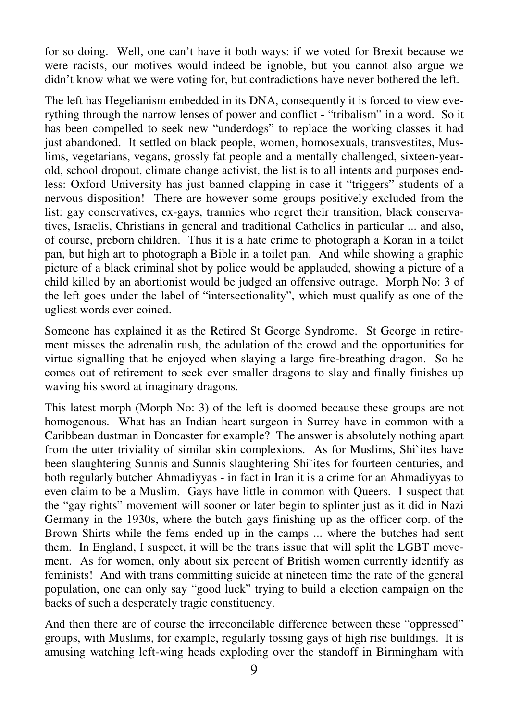for so doing. Well, one can't have it both ways: if we voted for Brexit because we were racists, our motives would indeed be ignoble, but you cannot also argue we didn't know what we were voting for, but contradictions have never bothered the left.

The left has Hegelianism embedded in its DNA, consequently it is forced to view everything through the narrow lenses of power and conflict - "tribalism" in a word. So it has been compelled to seek new "underdogs" to replace the working classes it had just abandoned. It settled on black people, women, homosexuals, transvestites, Muslims, vegetarians, vegans, grossly fat people and a mentally challenged, sixteen-yearold, school dropout, climate change activist, the list is to all intents and purposes endless: Oxford University has just banned clapping in case it "triggers" students of a nervous disposition! There are however some groups positively excluded from the list: gay conservatives, ex-gays, trannies who regret their transition, black conservatives, Israelis, Christians in general and traditional Catholics in particular ... and also, of course, preborn children. Thus it is a hate crime to photograph a Koran in a toilet pan, but high art to photograph a Bible in a toilet pan. And while showing a graphic picture of a black criminal shot by police would be applauded, showing a picture of a child killed by an abortionist would be judged an offensive outrage. Morph No: 3 of the left goes under the label of "intersectionality", which must qualify as one of the ugliest words ever coined.

Someone has explained it as the Retired St George Syndrome. St George in retirement misses the adrenalin rush, the adulation of the crowd and the opportunities for virtue signalling that he enjoyed when slaying a large fire-breathing dragon. So he comes out of retirement to seek ever smaller dragons to slay and finally finishes up waving his sword at imaginary dragons.

This latest morph (Morph No: 3) of the left is doomed because these groups are not homogenous. What has an Indian heart surgeon in Surrey have in common with a Caribbean dustman in Doncaster for example? The answer is absolutely nothing apart from the utter triviality of similar skin complexions. As for Muslims, Shi`ites have been slaughtering Sunnis and Sunnis slaughtering Shi`ites for fourteen centuries, and both regularly butcher Ahmadiyyas - in fact in Iran it is a crime for an Ahmadiyyas to even claim to be a Muslim. Gays have little in common with Queers. I suspect that the "gay rights" movement will sooner or later begin to splinter just as it did in Nazi Germany in the 1930s, where the butch gays finishing up as the officer corp. of the Brown Shirts while the fems ended up in the camps ... where the butches had sent them. In England, I suspect, it will be the trans issue that will split the LGBT movement. As for women, only about six percent of British women currently identify as feminists! And with trans committing suicide at nineteen time the rate of the general population, one can only say "good luck" trying to build a election campaign on the backs of such a desperately tragic constituency.

And then there are of course the irreconcilable difference between these "oppressed" groups, with Muslims, for example, regularly tossing gays of high rise buildings. It is amusing watching left-wing heads exploding over the standoff in Birmingham with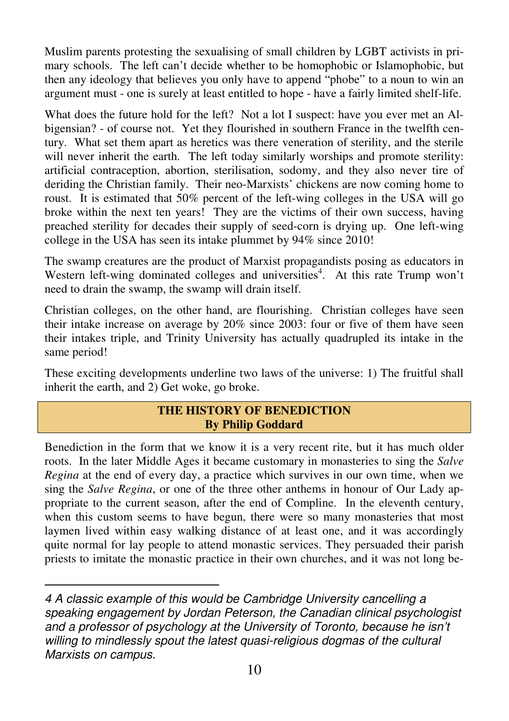Muslim parents protesting the sexualising of small children by LGBT activists in primary schools. The left can't decide whether to be homophobic or Islamophobic, but then any ideology that believes you only have to append "phobe" to a noun to win an argument must - one is surely at least entitled to hope - have a fairly limited shelf-life.

What does the future hold for the left? Not a lot I suspect: have you ever met an Albigensian? - of course not. Yet they flourished in southern France in the twelfth century. What set them apart as heretics was there veneration of sterility, and the sterile will never inherit the earth. The left today similarly worships and promote sterility: artificial contraception, abortion, sterilisation, sodomy, and they also never tire of deriding the Christian family. Their neo-Marxists' chickens are now coming home to roust. It is estimated that 50% percent of the left-wing colleges in the USA will go broke within the next ten years! They are the victims of their own success, having preached sterility for decades their supply of seed-corn is drying up. One left-wing college in the USA has seen its intake plummet by 94% since 2010!

The swamp creatures are the product of Marxist propagandists posing as educators in Western left-wing dominated colleges and universities<sup>4</sup>. At this rate Trump won't need to drain the swamp, the swamp will drain itself.

Christian colleges, on the other hand, are flourishing. Christian colleges have seen their intake increase on average by 20% since 2003: four or five of them have seen their intakes triple, and Trinity University has actually quadrupled its intake in the same period!

These exciting developments underline two laws of the universe: 1) The fruitful shall inherit the earth, and 2) Get woke, go broke.

## **THE HISTORY OF BENEDICTION By Philip Goddard**

Benediction in the form that we know it is a very recent rite, but it has much older roots. In the later Middle Ages it became customary in monasteries to sing the *Salve Regina* at the end of every day, a practice which survives in our own time, when we sing the *Salve Regina*, or one of the three other anthems in honour of Our Lady appropriate to the current season, after the end of Compline. In the eleventh century, when this custom seems to have begun, there were so many monasteries that most laymen lived within easy walking distance of at least one, and it was accordingly quite normal for lay people to attend monastic services. They persuaded their parish priests to imitate the monastic practice in their own churches, and it was not long be-

 $\overline{a}$ 

<sup>4</sup> A classic example of this would be Cambridge University cancelling a speaking engagement by Jordan Peterson, the Canadian clinical psychologist and a professor of psychology at the University of Toronto, because he isn't willing to mindlessly spout the latest quasi-religious dogmas of the cultural Marxists on campus.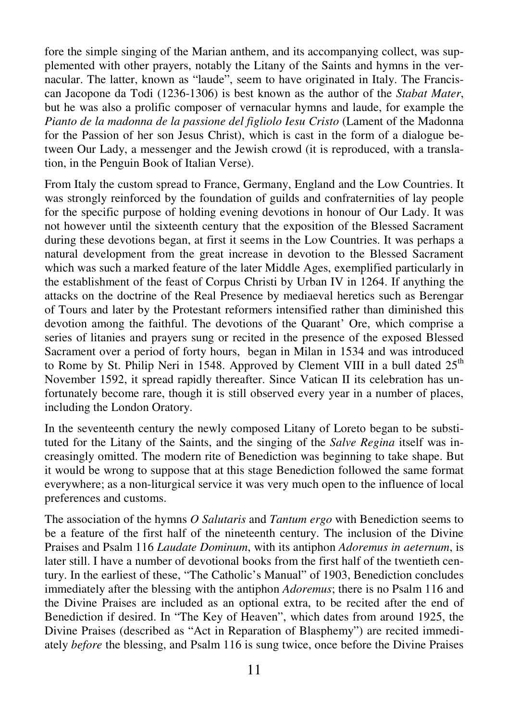fore the simple singing of the Marian anthem, and its accompanying collect, was supplemented with other prayers, notably the Litany of the Saints and hymns in the vernacular. The latter, known as "laude", seem to have originated in Italy. The Franciscan Jacopone da Todi (1236-1306) is best known as the author of the *Stabat Mater*, but he was also a prolific composer of vernacular hymns and laude, for example the *Pianto de la madonna de la passione del figliolo Iesu Cristo* (Lament of the Madonna for the Passion of her son Jesus Christ), which is cast in the form of a dialogue between Our Lady, a messenger and the Jewish crowd (it is reproduced, with a translation, in the Penguin Book of Italian Verse).

From Italy the custom spread to France, Germany, England and the Low Countries. It was strongly reinforced by the foundation of guilds and confraternities of lay people for the specific purpose of holding evening devotions in honour of Our Lady. It was not however until the sixteenth century that the exposition of the Blessed Sacrament during these devotions began, at first it seems in the Low Countries. It was perhaps a natural development from the great increase in devotion to the Blessed Sacrament which was such a marked feature of the later Middle Ages, exemplified particularly in the establishment of the feast of Corpus Christi by Urban IV in 1264. If anything the attacks on the doctrine of the Real Presence by mediaeval heretics such as Berengar of Tours and later by the Protestant reformers intensified rather than diminished this devotion among the faithful. The devotions of the Quarant' Ore, which comprise a series of litanies and prayers sung or recited in the presence of the exposed Blessed Sacrament over a period of forty hours, began in Milan in 1534 and was introduced to Rome by St. Philip Neri in 1548. Approved by Clement VIII in a bull dated  $25<sup>th</sup>$ November 1592, it spread rapidly thereafter. Since Vatican II its celebration has unfortunately become rare, though it is still observed every year in a number of places, including the London Oratory.

In the seventeenth century the newly composed Litany of Loreto began to be substituted for the Litany of the Saints, and the singing of the *Salve Regina* itself was increasingly omitted. The modern rite of Benediction was beginning to take shape. But it would be wrong to suppose that at this stage Benediction followed the same format everywhere; as a non-liturgical service it was very much open to the influence of local preferences and customs.

The association of the hymns *O Salutaris* and *Tantum ergo* with Benediction seems to be a feature of the first half of the nineteenth century. The inclusion of the Divine Praises and Psalm 116 *Laudate Dominum*, with its antiphon *Adoremus in aeternum*, is later still. I have a number of devotional books from the first half of the twentieth century. In the earliest of these, "The Catholic's Manual" of 1903, Benediction concludes immediately after the blessing with the antiphon *Adoremus*; there is no Psalm 116 and the Divine Praises are included as an optional extra, to be recited after the end of Benediction if desired. In "The Key of Heaven", which dates from around 1925, the Divine Praises (described as "Act in Reparation of Blasphemy") are recited immediately *before* the blessing, and Psalm 116 is sung twice, once before the Divine Praises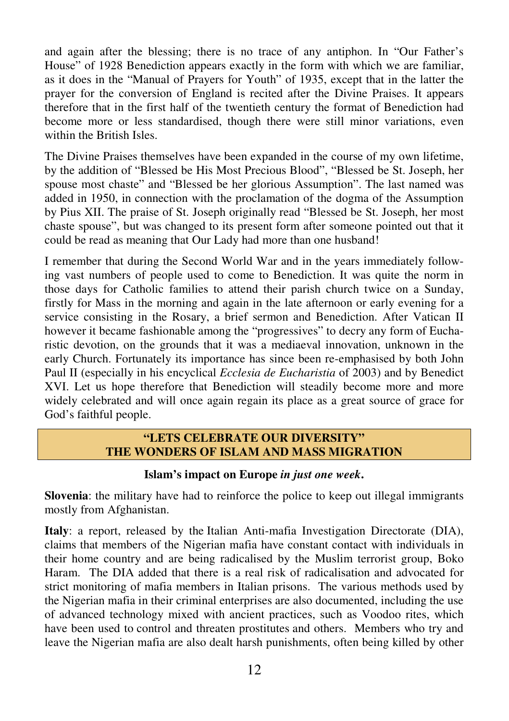and again after the blessing; there is no trace of any antiphon. In "Our Father's House" of 1928 Benediction appears exactly in the form with which we are familiar, as it does in the "Manual of Prayers for Youth" of 1935, except that in the latter the prayer for the conversion of England is recited after the Divine Praises. It appears therefore that in the first half of the twentieth century the format of Benediction had become more or less standardised, though there were still minor variations, even within the British Isles.

The Divine Praises themselves have been expanded in the course of my own lifetime, by the addition of "Blessed be His Most Precious Blood", "Blessed be St. Joseph, her spouse most chaste" and "Blessed be her glorious Assumption". The last named was added in 1950, in connection with the proclamation of the dogma of the Assumption by Pius XII. The praise of St. Joseph originally read "Blessed be St. Joseph, her most chaste spouse", but was changed to its present form after someone pointed out that it could be read as meaning that Our Lady had more than one husband!

I remember that during the Second World War and in the years immediately following vast numbers of people used to come to Benediction. It was quite the norm in those days for Catholic families to attend their parish church twice on a Sunday, firstly for Mass in the morning and again in the late afternoon or early evening for a service consisting in the Rosary, a brief sermon and Benediction. After Vatican II however it became fashionable among the "progressives" to decry any form of Eucharistic devotion, on the grounds that it was a mediaeval innovation, unknown in the early Church. Fortunately its importance has since been re-emphasised by both John Paul II (especially in his encyclical *Ecclesia de Eucharistia* of 2003) and by Benedict XVI. Let us hope therefore that Benediction will steadily become more and more widely celebrated and will once again regain its place as a great source of grace for God's faithful people.

## **"LETS CELEBRATE OUR DIVERSITY" THE WONDERS OF ISLAM AND MASS MIGRATION**

## **Islam's impact on Europe** *in just one week***.**

**Slovenia**: the military have had to reinforce the police to keep out illegal immigrants mostly from Afghanistan.

**Italy**: a report, released by the Italian Anti-mafia Investigation Directorate (DIA), claims that members of the Nigerian mafia have constant contact with individuals in their home country and are being radicalised by the Muslim terrorist group, Boko Haram. The DIA added that there is a real risk of radicalisation and advocated for strict monitoring of mafia members in Italian prisons. The various methods used by the Nigerian mafia in their criminal enterprises are also documented, including the use of advanced technology mixed with ancient practices, such as Voodoo rites, which have been used to control and threaten prostitutes and others. Members who try and leave the Nigerian mafia are also dealt harsh punishments, often being killed by other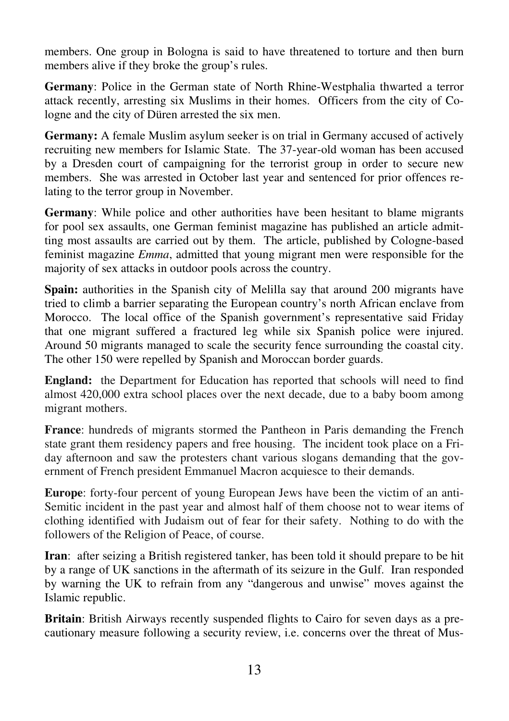members. One group in Bologna is said to have threatened to torture and then burn members alive if they broke the group's rules.

**Germany**: Police in the German state of North Rhine-Westphalia thwarted a terror attack recently, arresting six Muslims in their homes. Officers from the city of Cologne and the city of Düren arrested the six men.

**Germany:** A female Muslim asylum seeker is on trial in Germany accused of actively recruiting new members for Islamic State. The 37-year-old woman has been accused by a Dresden court of campaigning for the terrorist group in order to secure new members. She was arrested in October last year and sentenced for prior offences relating to the terror group in November.

**Germany**: While police and other authorities have been hesitant to blame migrants for pool sex assaults, one German feminist magazine has published an article admitting most assaults are carried out by them. The article, published by Cologne-based feminist magazine *Emma*, admitted that young migrant men were responsible for the majority of sex attacks in outdoor pools across the country.

**Spain:** authorities in the Spanish city of Melilla say that around 200 migrants have tried to climb a barrier separating the European country's north African enclave from Morocco. The local office of the Spanish government's representative said Friday that one migrant suffered a fractured leg while six Spanish police were injured. Around 50 migrants managed to scale the security fence surrounding the coastal city. The other 150 were repelled by Spanish and Moroccan border guards.

**England:** the Department for Education has reported that schools will need to find almost 420,000 extra school places over the next decade, due to a baby boom among migrant mothers.

**France**: hundreds of migrants stormed the Pantheon in Paris demanding the French state grant them residency papers and free housing. The incident took place on a Friday afternoon and saw the protesters chant various slogans demanding that the government of French president Emmanuel Macron acquiesce to their demands.

**Europe**: forty-four percent of young European Jews have been the victim of an anti-Semitic incident in the past year and almost half of them choose not to wear items of clothing identified with Judaism out of fear for their safety. Nothing to do with the followers of the Religion of Peace, of course.

**Iran**: after seizing a British registered tanker, has been told it should prepare to be hit by a range of UK sanctions in the aftermath of its seizure in the Gulf. Iran responded by warning the UK to refrain from any "dangerous and unwise" moves against the Islamic republic.

**Britain**: British Airways recently suspended flights to Cairo for seven days as a precautionary measure following a security review, i.e. concerns over the threat of Mus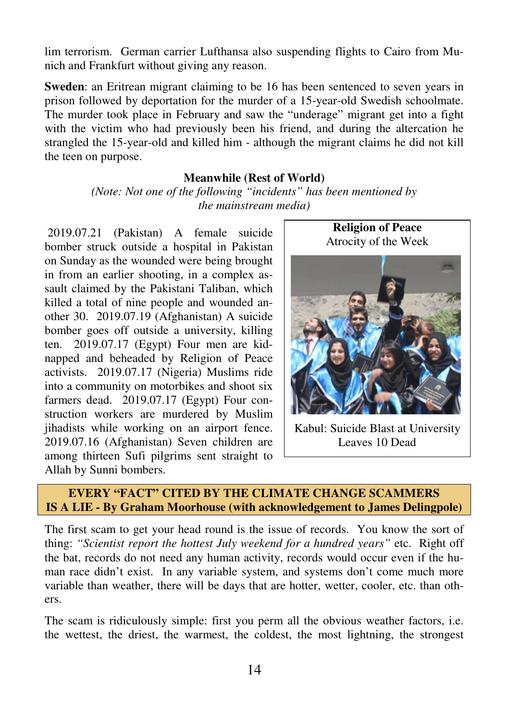lim terrorism. German carrier Lufthansa also suspending flights to Cairo from Munich and Frankfurt without giving any reason.

**Sweden**: an Eritrean migrant claiming to be 16 has been sentenced to seven years in prison followed by deportation for the murder of a 15-year-old Swedish schoolmate. The murder took place in February and saw the "underage" migrant get into a fight with the victim who had previously been his friend, and during the altercation he strangled the 15-year-old and killed him - although the migrant claims he did not kill the teen on purpose.

#### **Meanwhile (Rest of World)**

*(Note: Not one of the following "incidents" has been mentioned by the mainstream media)* 

 2019.07.21 (Pakistan) A female suicide bomber struck outside a hospital in Pakistan on Sunday as the wounded were being brought in from an earlier shooting, in a complex assault claimed by the Pakistani Taliban, which killed a total of nine people and wounded another 30. 2019.07.19 (Afghanistan) A suicide bomber goes off outside a university, killing ten. 2019.07.17 (Egypt) Four men are kidnapped and beheaded by Religion of Peace activists. 2019.07.17 (Nigeria) Muslims ride into a community on motorbikes and shoot six farmers dead. 2019.07.17 (Egypt) Four construction workers are murdered by Muslim jihadists while working on an airport fence. 2019.07.16 (Afghanistan) Seven children are among thirteen Sufi pilgrims sent straight to Allah by Sunni bombers.



Kabul: Suicide Blast at University Leaves 10 Dead

# **EVERY "FACT" CITED BY THE CLIMATE CHANGE SCAMMERS IS A LIE - By Graham Moorhouse (with acknowledgement to James Delingpole)**

The first scam to get your head round is the issue of records. You know the sort of thing: *"Scientist report the hottest July weekend for a hundred years"* etc. Right off the bat, records do not need any human activity, records would occur even if the human race didn't exist. In any variable system, and systems don't come much more variable than weather, there will be days that are hotter, wetter, cooler, etc. than others.

The scam is ridiculously simple: first you perm all the obvious weather factors, i.e. the wettest, the driest, the warmest, the coldest, the most lightning, the strongest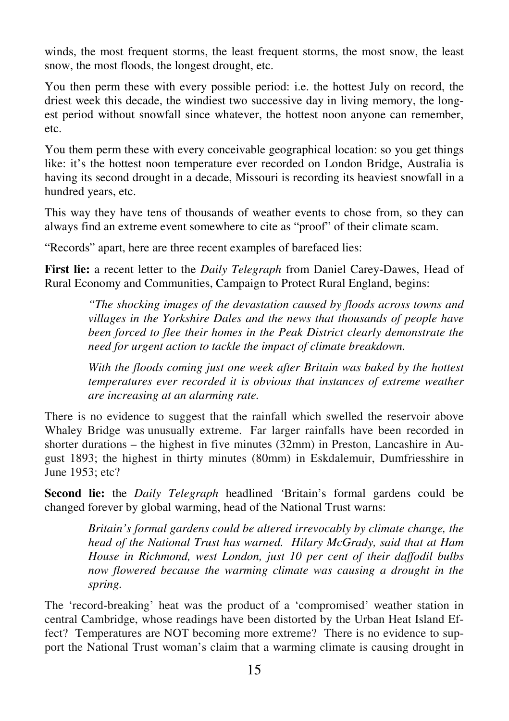winds, the most frequent storms, the least frequent storms, the most snow, the least snow, the most floods, the longest drought, etc.

You then perm these with every possible period: i.e. the hottest July on record, the driest week this decade, the windiest two successive day in living memory, the longest period without snowfall since whatever, the hottest noon anyone can remember, etc.

You them perm these with every conceivable geographical location: so you get things like: it's the hottest noon temperature ever recorded on London Bridge, Australia is having its second drought in a decade, Missouri is recording its heaviest snowfall in a hundred years, etc.

This way they have tens of thousands of weather events to chose from, so they can always find an extreme event somewhere to cite as "proof" of their climate scam.

"Records" apart, here are three recent examples of barefaced lies:

**First lie:** a recent letter to the *Daily Telegraph* from Daniel Carey-Dawes, Head of Rural Economy and Communities, Campaign to Protect Rural England, begins:

> *"The shocking images of the devastation caused by floods across towns and villages in the Yorkshire Dales and the news that thousands of people have been forced to flee their homes in the Peak District clearly demonstrate the need for urgent action to tackle the impact of climate breakdown.*

> With the floods coming just one week after Britain was baked by the hottest *temperatures ever recorded it is obvious that instances of extreme weather are increasing at an alarming rate.*

There is no evidence to suggest that the rainfall which swelled the reservoir above Whaley Bridge was unusually extreme. Far larger rainfalls have been recorded in shorter durations – the highest in five minutes (32mm) in Preston, Lancashire in August 1893; the highest in thirty minutes (80mm) in Eskdalemuir, Dumfriesshire in June 1953; etc?

**Second lie:** the *Daily Telegraph* headlined *'*Britain's formal gardens could be changed forever by global warming, head of the National Trust warns:

> *Britain's formal gardens could be altered irrevocably by climate change, the head of the National Trust has warned. Hilary McGrady, said that at Ham House in Richmond, west London, just 10 per cent of their daffodil bulbs now flowered because the warming climate was causing a drought in the spring.*

The 'record-breaking' heat was the product of a 'compromised' weather station in central Cambridge, whose readings have been distorted by the Urban Heat Island Effect? Temperatures are NOT becoming more extreme? There is no evidence to support the National Trust woman's claim that a warming climate is causing drought in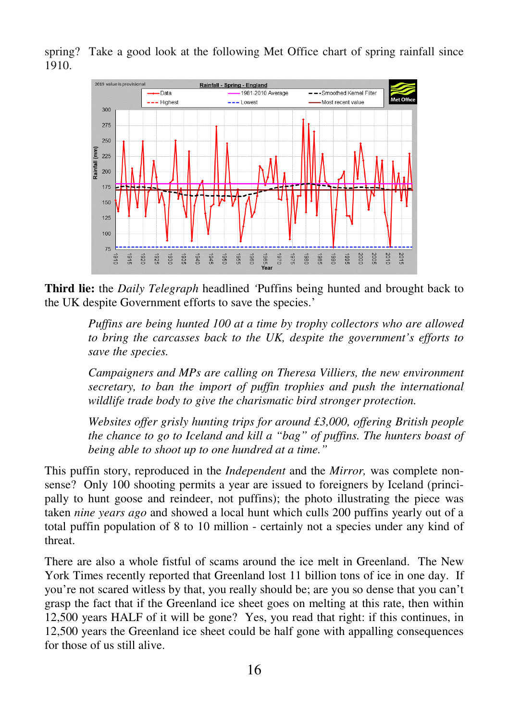spring? Take a good look at the following Met Office chart of spring rainfall since 1910.



**Third lie:** the *Daily Telegraph* headlined *'*Puffins being hunted and brought back to the UK despite Government efforts to save the species.'

*Puffins are being hunted 100 at a time by trophy collectors who are allowed to bring the carcasses back to the UK, despite the government's efforts to save the species.* 

*Campaigners and MPs are calling on Theresa Villiers, the new environment secretary, to ban the import of puffin trophies and push the international wildlife trade body to give the charismatic bird stronger protection.* 

*Websites offer grisly hunting trips for around £3,000, offering British people the chance to go to Iceland and kill a "bag" of puffins. The hunters boast of being able to shoot up to one hundred at a time."* 

This puffin story, reproduced in the *Independent* and the *Mirror,* was complete nonsense? Only 100 shooting permits a year are issued to foreigners by Iceland (principally to hunt goose and reindeer, not puffins); the photo illustrating the piece was taken *nine years ago* and showed a local hunt which culls 200 puffins yearly out of a total puffin population of 8 to 10 million - certainly not a species under any kind of threat.

There are also a whole fistful of scams around the ice melt in Greenland. The New York Times recently reported that Greenland lost 11 billion tons of ice in one day. If you're not scared witless by that, you really should be; are you so dense that you can't grasp the fact that if the Greenland ice sheet goes on melting at this rate, then within 12,500 years HALF of it will be gone? Yes, you read that right: if this continues, in 12,500 years the Greenland ice sheet could be half gone with appalling consequences for those of us still alive.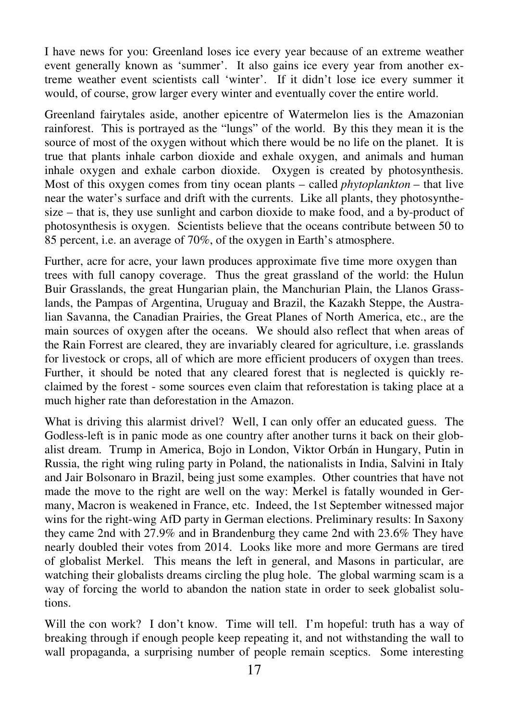I have news for you: Greenland loses ice every year because of an extreme weather event generally known as 'summer'. It also gains ice every year from another extreme weather event scientists call 'winter'. If it didn't lose ice every summer it would, of course, grow larger every winter and eventually cover the entire world.

Greenland fairytales aside, another epicentre of Watermelon lies is the Amazonian rainforest. This is portrayed as the "lungs" of the world. By this they mean it is the source of most of the oxygen without which there would be no life on the planet. It is true that plants inhale carbon dioxide and exhale oxygen, and animals and human inhale oxygen and exhale carbon dioxide. Oxygen is created by photosynthesis. Most of this oxygen comes from tiny ocean plants – called *phytoplankton* – that live near the water's surface and drift with the currents. Like all plants, they photosynthesize – that is, they use sunlight and carbon dioxide to make food, and a by-product of photosynthesis is oxygen. Scientists believe that the oceans contribute between 50 to 85 percent, i.e. an average of 70%, of the oxygen in Earth's atmosphere.

Further, acre for acre, your lawn produces approximate five time more oxygen than trees with full canopy coverage. Thus the great grassland of the world: the Hulun Buir Grasslands, the great Hungarian plain, the Manchurian Plain, the Llanos Grasslands, the Pampas of Argentina, Uruguay and Brazil, the Kazakh Steppe, the Australian Savanna, the Canadian Prairies, the Great Planes of North America, etc., are the main sources of oxygen after the oceans. We should also reflect that when areas of the Rain Forrest are cleared, they are invariably cleared for agriculture, i.e. grasslands for livestock or crops, all of which are more efficient producers of oxygen than trees. Further, it should be noted that any cleared forest that is neglected is quickly reclaimed by the forest - some sources even claim that reforestation is taking place at a much higher rate than deforestation in the Amazon.

What is driving this alarmist drivel? Well, I can only offer an educated guess. The Godless-left is in panic mode as one country after another turns it back on their globalist dream. Trump in America, Bojo in London, Viktor Orbán in Hungary, Putin in Russia, the right wing ruling party in Poland, the nationalists in India, Salvini in Italy and Jair Bolsonaro in Brazil, being just some examples. Other countries that have not made the move to the right are well on the way: Merkel is fatally wounded in Germany, Macron is weakened in France, etc. Indeed, the 1st September witnessed major wins for the right-wing AfD party in German elections. Preliminary results: In Saxony they came 2nd with 27.9% and in Brandenburg they came 2nd with 23.6% They have nearly doubled their votes from 2014. Looks like more and more Germans are tired of globalist Merkel. This means the left in general, and Masons in particular, are watching their globalists dreams circling the plug hole. The global warming scam is a way of forcing the world to abandon the nation state in order to seek globalist solutions.

Will the con work? I don't know. Time will tell. I'm hopeful: truth has a way of breaking through if enough people keep repeating it, and not withstanding the wall to wall propaganda, a surprising number of people remain sceptics. Some interesting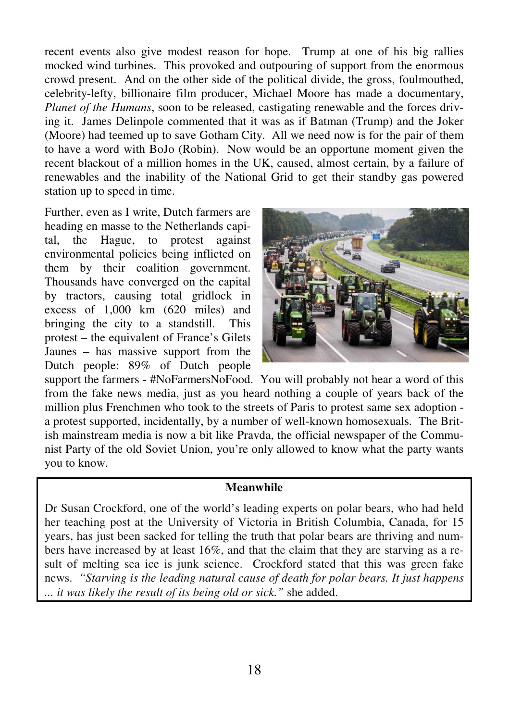recent events also give modest reason for hope. Trump at one of his big rallies mocked wind turbines. This provoked and outpouring of support from the enormous crowd present. And on the other side of the political divide, the gross, foulmouthed, celebrity-lefty, billionaire film producer, Michael Moore has made a documentary, *Planet of the Humans*, soon to be released, castigating renewable and the forces driving it. James Delinpole commented that it was as if Batman (Trump) and the Joker (Moore) had teemed up to save Gotham City. All we need now is for the pair of them to have a word with BoJo (Robin). Now would be an opportune moment given the recent blackout of a million homes in the UK, caused, almost certain, by a failure of renewables and the inability of the National Grid to get their standby gas powered station up to speed in time.

Further, even as I write, Dutch farmers are heading en masse to the Netherlands capital, the Hague, to protest against environmental policies being inflicted on them by their coalition government. Thousands have converged on the capital by tractors, causing total gridlock in excess of 1,000 km (620 miles) and bringing the city to a standstill. This protest – the equivalent of France's Gilets Jaunes – has massive support from the Dutch people: 89% of Dutch people



support the farmers - #NoFarmersNoFood. You will probably not hear a word of this from the fake news media, just as you heard nothing a couple of years back of the million plus Frenchmen who took to the streets of Paris to protest same sex adoption a protest supported, incidentally, by a number of well-known homosexuals. The British mainstream media is now a bit like Pravda, the official newspaper of the Communist Party of the old Soviet Union, you're only allowed to know what the party wants you to know.

#### **Meanwhile**

Dr Susan Crockford, one of the world's leading experts on polar bears, who had held her teaching post at the University of Victoria in British Columbia, Canada, for 15 years, has just been sacked for telling the truth that polar bears are thriving and numbers have increased by at least 16%, and that the claim that they are starving as a result of melting sea ice is junk science. Crockford stated that this was green fake news. *"Starving is the leading natural cause of death for polar bears. It just happens ... it was likely the result of its being old or sick."* she added.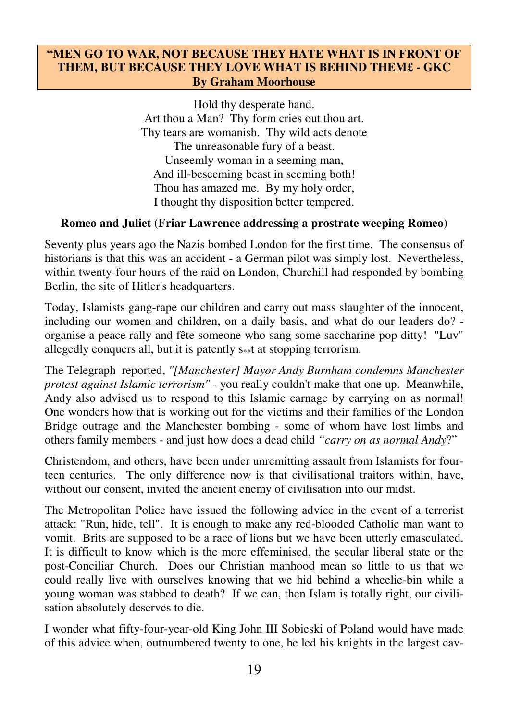## **"MEN GO TO WAR, NOT BECAUSE THEY HATE WHAT IS IN FRONT OF THEM, BUT BECAUSE THEY LOVE WHAT IS BEHIND THEM£ - GKC By Graham Moorhouse**

Hold thy desperate hand. Art thou a Man? Thy form cries out thou art. Thy tears are womanish. Thy wild acts denote The unreasonable fury of a beast. Unseemly woman in a seeming man, And ill-beseeming beast in seeming both! Thou has amazed me. By my holy order, I thought thy disposition better tempered.

## **Romeo and Juliet (Friar Lawrence addressing a prostrate weeping Romeo)**

Seventy plus years ago the Nazis bombed London for the first time. The consensus of historians is that this was an accident - a German pilot was simply lost. Nevertheless, within twenty-four hours of the raid on London, Churchill had responded by bombing Berlin, the site of Hitler's headquarters.

Today, Islamists gang-rape our children and carry out mass slaughter of the innocent, including our women and children, on a daily basis, and what do our leaders do? organise a peace rally and fête someone who sang some saccharine pop ditty! "Luv" allegedly conquers all, but it is patently  $s**t$  at stopping terrorism.

The Telegraph reported, *"[Manchester] Mayor Andy Burnham condemns Manchester protest against Islamic terrorism"* - you really couldn't make that one up. Meanwhile, Andy also advised us to respond to this Islamic carnage by carrying on as normal! One wonders how that is working out for the victims and their families of the London Bridge outrage and the Manchester bombing - some of whom have lost limbs and others family members - and just how does a dead child *"carry on as normal Andy*?"

Christendom, and others, have been under unremitting assault from Islamists for fourteen centuries. The only difference now is that civilisational traitors within, have, without our consent, invited the ancient enemy of civilisation into our midst.

The Metropolitan Police have issued the following advice in the event of a terrorist attack: "Run, hide, tell". It is enough to make any red-blooded Catholic man want to vomit. Brits are supposed to be a race of lions but we have been utterly emasculated. It is difficult to know which is the more effeminised, the secular liberal state or the post-Conciliar Church. Does our Christian manhood mean so little to us that we could really live with ourselves knowing that we hid behind a wheelie-bin while a young woman was stabbed to death? If we can, then Islam is totally right, our civilisation absolutely deserves to die.

I wonder what fifty-four-year-old King John III Sobieski of Poland would have made of this advice when, outnumbered twenty to one, he led his knights in the largest cav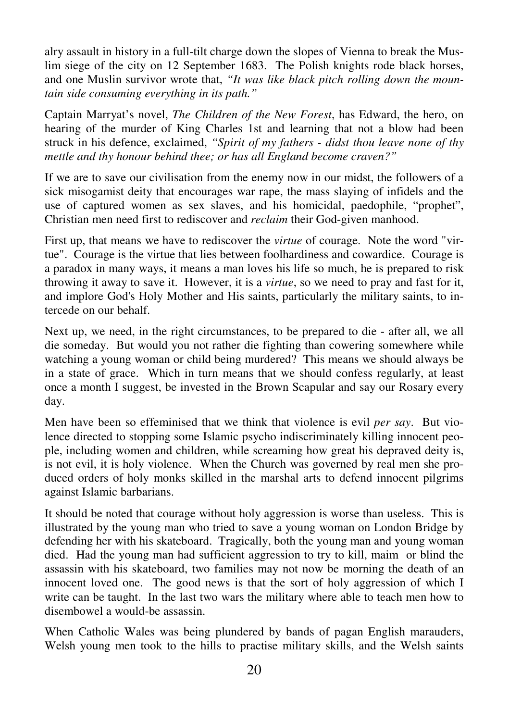alry assault in history in a full-tilt charge down the slopes of Vienna to break the Muslim siege of the city on 12 September 1683. The Polish knights rode black horses, and one Muslin survivor wrote that, *"It was like black pitch rolling down the mountain side consuming everything in its path."*

Captain Marryat's novel, *The Children of the New Forest*, has Edward, the hero, on hearing of the murder of King Charles 1st and learning that not a blow had been struck in his defence, exclaimed, *"Spirit of my fathers - didst thou leave none of thy mettle and thy honour behind thee; or has all England become craven?"*

If we are to save our civilisation from the enemy now in our midst, the followers of a sick misogamist deity that encourages war rape, the mass slaying of infidels and the use of captured women as sex slaves, and his homicidal, paedophile, "prophet", Christian men need first to rediscover and *reclaim* their God-given manhood.

First up, that means we have to rediscover the *virtue* of courage. Note the word "virtue". Courage is the virtue that lies between foolhardiness and cowardice. Courage is a paradox in many ways, it means a man loves his life so much, he is prepared to risk throwing it away to save it. However, it is a *virtue*, so we need to pray and fast for it, and implore God's Holy Mother and His saints, particularly the military saints, to intercede on our behalf.

Next up, we need, in the right circumstances, to be prepared to die - after all, we all die someday. But would you not rather die fighting than cowering somewhere while watching a young woman or child being murdered? This means we should always be in a state of grace. Which in turn means that we should confess regularly, at least once a month I suggest, be invested in the Brown Scapular and say our Rosary every day.

Men have been so effeminised that we think that violence is evil *per say*. But violence directed to stopping some Islamic psycho indiscriminately killing innocent people, including women and children, while screaming how great his depraved deity is, is not evil, it is holy violence. When the Church was governed by real men she produced orders of holy monks skilled in the marshal arts to defend innocent pilgrims against Islamic barbarians.

It should be noted that courage without holy aggression is worse than useless. This is illustrated by the young man who tried to save a young woman on London Bridge by defending her with his skateboard. Tragically, both the young man and young woman died. Had the young man had sufficient aggression to try to kill, maim or blind the assassin with his skateboard, two families may not now be morning the death of an innocent loved one. The good news is that the sort of holy aggression of which I write can be taught. In the last two wars the military where able to teach men how to disembowel a would-be assassin.

When Catholic Wales was being plundered by bands of pagan English marauders, Welsh young men took to the hills to practise military skills, and the Welsh saints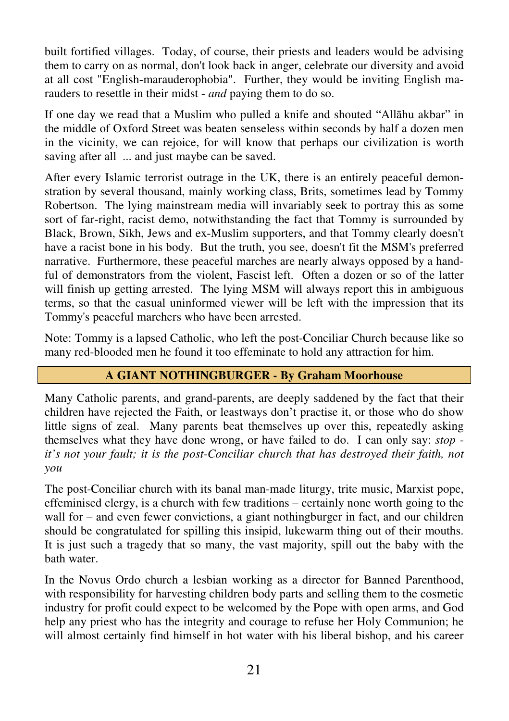built fortified villages. Today, of course, their priests and leaders would be advising them to carry on as normal, don't look back in anger, celebrate our diversity and avoid at all cost "English-marauderophobia". Further, they would be inviting English marauders to resettle in their midst - *and* paying them to do so.

If one day we read that a Muslim who pulled a knife and shouted "Allāhu akbar" in the middle of Oxford Street was beaten senseless within seconds by half a dozen men in the vicinity, we can rejoice, for will know that perhaps our civilization is worth saving after all ... and just maybe can be saved.

After every Islamic terrorist outrage in the UK, there is an entirely peaceful demonstration by several thousand, mainly working class, Brits, sometimes lead by Tommy Robertson. The lying mainstream media will invariably seek to portray this as some sort of far-right, racist demo, notwithstanding the fact that Tommy is surrounded by Black, Brown, Sikh, Jews and ex-Muslim supporters, and that Tommy clearly doesn't have a racist bone in his body. But the truth, you see, doesn't fit the MSM's preferred narrative. Furthermore, these peaceful marches are nearly always opposed by a handful of demonstrators from the violent, Fascist left. Often a dozen or so of the latter will finish up getting arrested. The lying MSM will always report this in ambiguous terms, so that the casual uninformed viewer will be left with the impression that its Tommy's peaceful marchers who have been arrested.

Note: Tommy is a lapsed Catholic, who left the post-Conciliar Church because like so many red-blooded men he found it too effeminate to hold any attraction for him.

# **A GIANT NOTHINGBURGER - By Graham Moorhouse**

Many Catholic parents, and grand-parents, are deeply saddened by the fact that their children have rejected the Faith, or leastways don't practise it, or those who do show little signs of zeal. Many parents beat themselves up over this, repeatedly asking themselves what they have done wrong, or have failed to do. I can only say: *stop it's not your fault; it is the post-Conciliar church that has destroyed their faith, not you* 

The post-Conciliar church with its banal man-made liturgy, trite music, Marxist pope, effeminised clergy, is a church with few traditions – certainly none worth going to the wall for – and even fewer convictions, a giant nothingburger in fact, and our children should be congratulated for spilling this insipid, lukewarm thing out of their mouths. It is just such a tragedy that so many, the vast majority, spill out the baby with the bath water.

In the Novus Ordo church a lesbian working as a director for Banned Parenthood, with responsibility for harvesting children body parts and selling them to the cosmetic industry for profit could expect to be welcomed by the Pope with open arms, and God help any priest who has the integrity and courage to refuse her Holy Communion; he will almost certainly find himself in hot water with his liberal bishop, and his career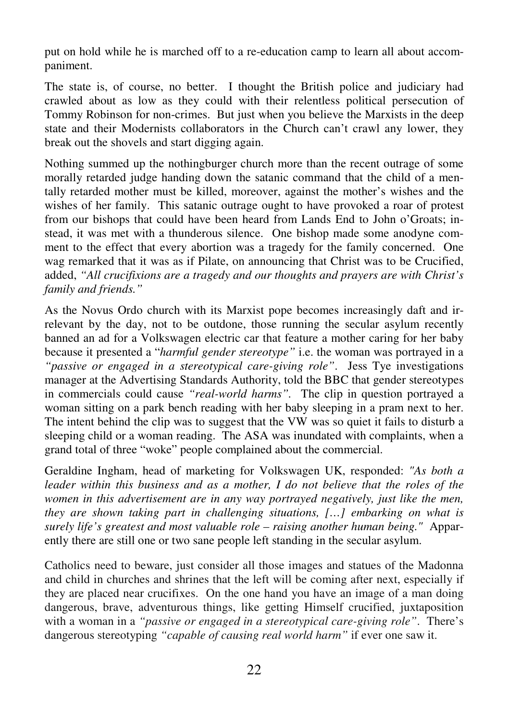put on hold while he is marched off to a re-education camp to learn all about accompaniment.

The state is, of course, no better. I thought the British police and judiciary had crawled about as low as they could with their relentless political persecution of Tommy Robinson for non-crimes. But just when you believe the Marxists in the deep state and their Modernists collaborators in the Church can't crawl any lower, they break out the shovels and start digging again.

Nothing summed up the nothingburger church more than the recent outrage of some morally retarded judge handing down the satanic command that the child of a mentally retarded mother must be killed, moreover, against the mother's wishes and the wishes of her family. This satanic outrage ought to have provoked a roar of protest from our bishops that could have been heard from Lands End to John o'Groats; instead, it was met with a thunderous silence. One bishop made some anodyne comment to the effect that every abortion was a tragedy for the family concerned. One wag remarked that it was as if Pilate, on announcing that Christ was to be Crucified, added, *"All crucifixions are a tragedy and our thoughts and prayers are with Christ's family and friends."* 

As the Novus Ordo church with its Marxist pope becomes increasingly daft and irrelevant by the day, not to be outdone, those running the secular asylum recently banned an ad for a Volkswagen electric car that feature a mother caring for her baby because it presented a "*harmful gender stereotype"* i.e. the woman was portrayed in a *"passive or engaged in a stereotypical care-giving role"*. Jess Tye investigations manager at the Advertising Standards Authority, told the BBC that gender stereotypes in commercials could cause *"real-world harms".* The clip in question portrayed a woman sitting on a park bench reading with her baby sleeping in a pram next to her. The intent behind the clip was to suggest that the VW was so quiet it fails to disturb a sleeping child or a woman reading. The ASA was inundated with complaints, when a grand total of three "woke" people complained about the commercial.

Geraldine Ingham, head of marketing for Volkswagen UK, responded: *"As both a leader within this business and as a mother, I do not believe that the roles of the women in this advertisement are in any way portrayed negatively, just like the men, they are shown taking part in challenging situations, […] embarking on what is surely life's greatest and most valuable role – raising another human being."* Apparently there are still one or two sane people left standing in the secular asylum.

Catholics need to beware, just consider all those images and statues of the Madonna and child in churches and shrines that the left will be coming after next, especially if they are placed near crucifixes. On the one hand you have an image of a man doing dangerous, brave, adventurous things, like getting Himself crucified, juxtaposition with a woman in a *"passive or engaged in a stereotypical care-giving role"*. There's dangerous stereotyping *"capable of causing real world harm"* if ever one saw it.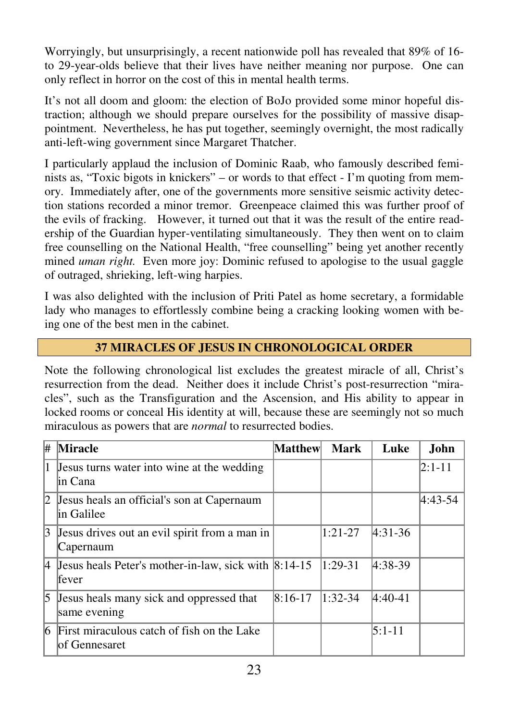Worryingly, but unsurprisingly, a recent nationwide poll has revealed that 89% of 16 to 29-year-olds believe that their lives have neither meaning nor purpose. One can only reflect in horror on the cost of this in mental health terms.

It's not all doom and gloom: the election of BoJo provided some minor hopeful distraction; although we should prepare ourselves for the possibility of massive disappointment. Nevertheless, he has put together, seemingly overnight, the most radically anti-left-wing government since Margaret Thatcher.

I particularly applaud the inclusion of Dominic Raab, who famously described feminists as, "Toxic bigots in knickers" – or words to that effect - I'm quoting from memory. Immediately after, one of the governments more sensitive seismic activity detection stations recorded a minor tremor. Greenpeace claimed this was further proof of the evils of fracking. However, it turned out that it was the result of the entire readership of the Guardian hyper-ventilating simultaneously. They then went on to claim free counselling on the National Health, "free counselling" being yet another recently mined *uman right.* Even more joy: Dominic refused to apologise to the usual gaggle of outraged, shrieking, left-wing harpies.

I was also delighted with the inclusion of Priti Patel as home secretary, a formidable lady who manages to effortlessly combine being a cracking looking women with being one of the best men in the cabinet.

# **37 MIRACLES OF JESUS IN CHRONOLOGICAL ORDER**

Note the following chronological list excludes the greatest miracle of all, Christ's resurrection from the dead. Neither does it include Christ's post-resurrection "miracles", such as the Transfiguration and the Ascension, and His ability to appear in locked rooms or conceal His identity at will, because these are seemingly not so much miraculous as powers that are *normal* to resurrected bodies.

| #      | <b>Miracle</b>                                                             | Matthew   | Mark      | Luke        | John       |
|--------|----------------------------------------------------------------------------|-----------|-----------|-------------|------------|
| $(1 -$ | Jesus turns water into wine at the wedding<br>lin Cana                     |           |           |             | $2:1 - 11$ |
| 12     | Jesus heals an official's son at Capernaum<br>lin Galilee                  |           |           |             | $4:43-54$  |
| 13     | Jesus drives out an evil spirit from a man in<br>Capernaum                 |           | $1:21-27$ | $4:31-36$   |            |
|        | 4 Jesus heals Peter's mother-in-law, sick with $ 8:14-15 $<br><b>fever</b> |           | $1:29-31$ | $ 4:38-39 $ |            |
| 15     | Jesus heals many sick and oppressed that<br>same evening                   | $8:16-17$ | $1:32-34$ | $4:40-41$   |            |
| 16.    | First miraculous catch of fish on the Lake<br>lof Gennesaret               |           |           | $5:1-11$    |            |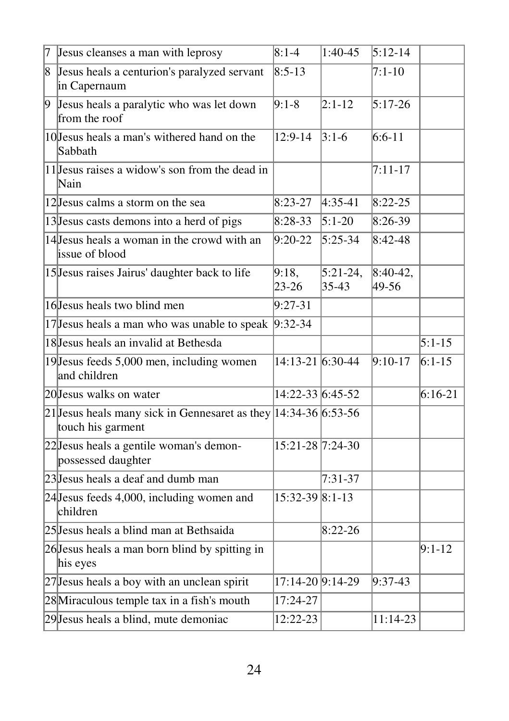| 7  | Jesus cleanses a man with leprosy                                                       | $8:1-4$            | $1:40-45$             | $5:12-14$           |           |
|----|-----------------------------------------------------------------------------------------|--------------------|-----------------------|---------------------|-----------|
| 8  | Jesus heals a centurion's paralyzed servant<br>in Capernaum                             | $8:5-13$           |                       | $7:1-10$            |           |
| þ. | Jesus heals a paralytic who was let down<br>from the roof                               | $9:1-8$            | $2:1-12$              | $5:17-26$           |           |
|    | 10 Jesus heals a man's withered hand on the<br>Sabbath                                  | 12:9-14            | $3:1-6$               | $6:6-11$            |           |
|    | 11 Jesus raises a widow's son from the dead in<br>Nain                                  |                    |                       | $7:11 - 17$         |           |
|    | 12 Jesus calms a storm on the sea                                                       | $8:23-27$          | $4:35-41$             | $8:22 - 25$         |           |
|    | 13 Jesus casts demons into a herd of pigs                                               | $8:28-33$          | $5:1-20$              | 8:26-39             |           |
|    | 14 Jesus heals a woman in the crowd with an<br>issue of blood                           | $9:20-22$          | $5:25-34$             | $8:42-48$           |           |
|    | 15 Jesus raises Jairus' daughter back to life                                           | 9:18,<br>$23 - 26$ | $5:21-24,$<br>$35-43$ | $8:40-42,$<br>49-56 |           |
|    | 16 Jesus heals two blind men                                                            | $9:27-31$          |                       |                     |           |
|    | 17 Jesus heals a man who was unable to speak                                            | $9:32-34$          |                       |                     |           |
|    | 18 Jesus heals an invalid at Bethesda                                                   |                    |                       |                     | $5:1-15$  |
|    | 19 Jesus feeds 5,000 men, including women<br>and children                               | 14:13-21 6:30-44   |                       | $9:10-17$           | $6:1-15$  |
|    | 20 Jesus walks on water                                                                 | 14:22-33 6:45-52   |                       |                     | $6:16-21$ |
|    | 21 Jesus heals many sick in Gennesaret as they $ 14:34-36 6:53-56$<br>touch his garment |                    |                       |                     |           |
|    | 22 Jesus heals a gentile woman's demon-<br>possessed daughter                           | 15:21-28 7:24-30   |                       |                     |           |
|    | 23 Jesus heals a deaf and dumb man                                                      |                    | $7:31-37$             |                     |           |
|    | $24$ Jesus feeds 4,000, including women and<br>children                                 | 15:32-39 8:1-13    |                       |                     |           |
|    | 25 Jesus heals a blind man at Bethsaida                                                 |                    | $8:22 - 26$           |                     |           |
|    | 26 Jesus heals a man born blind by spitting in<br>his eyes                              |                    |                       |                     | $9:1-12$  |
|    | 27 Jesus heals a boy with an unclean spirit                                             | 17:14-20 9:14-29   |                       | $9:37-43$           |           |
|    | 28 Miraculous temple tax in a fish's mouth                                              | 17:24-27           |                       |                     |           |
|    | 29 Jesus heals a blind, mute demoniac                                                   | 12:22-23           |                       | 11:14-23            |           |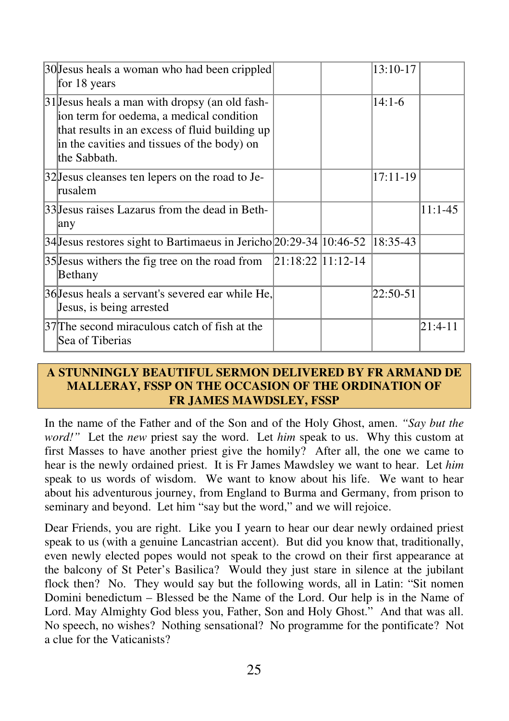| 30 Jesus heals a woman who had been crippled<br>for 18 years                                                                                                                                                 | 13:10-17   |           |
|--------------------------------------------------------------------------------------------------------------------------------------------------------------------------------------------------------------|------------|-----------|
| 31 Jesus heals a man with dropsy (an old fash-<br>ion term for oedema, a medical condition<br>that results in an excess of fluid building up<br>in the cavities and tissues of the body) on<br>lthe Sabbath. | $14:1-6$   |           |
| 32 Jesus cleanses ten lepers on the road to Je-<br>lrusalem                                                                                                                                                  | 17:11-19   |           |
| 33 Jesus raises Lazarus from the dead in Beth-<br>any                                                                                                                                                        |            | $11:1-45$ |
| 34 Jesus restores sight to Bartimaeus in Jericho $ 20:29-34 10:46-52$                                                                                                                                        | $18:35-43$ |           |
| $ 21:18:22 11:12-14$<br>35 Jesus withers the fig tree on the road from<br>Bethany                                                                                                                            |            |           |
| 36 Jesus heals a servant's severed ear while He,<br>Jesus, is being arrested                                                                                                                                 | 22:50-51   |           |
| 37 The second miraculous catch of fish at the<br>Sea of Tiberias                                                                                                                                             |            | 21:4-11   |

## **A STUNNINGLY BEAUTIFUL SERMON DELIVERED BY FR ARMAND DE MALLERAY, FSSP ON THE OCCASION OF THE ORDINATION OF FR JAMES MAWDSLEY, FSSP**

In the name of the Father and of the Son and of the Holy Ghost, amen. *"Say but the word!"* Let the *new* priest say the word. Let *him* speak to us. Why this custom at first Masses to have another priest give the homily? After all, the one we came to hear is the newly ordained priest. It is Fr James Mawdsley we want to hear. Let *him* speak to us words of wisdom. We want to know about his life. We want to hear about his adventurous journey, from England to Burma and Germany, from prison to seminary and beyond. Let him "say but the word," and we will rejoice.

Dear Friends, you are right. Like you I yearn to hear our dear newly ordained priest speak to us (with a genuine Lancastrian accent). But did you know that, traditionally, even newly elected popes would not speak to the crowd on their first appearance at the balcony of St Peter's Basilica? Would they just stare in silence at the jubilant flock then? No. They would say but the following words, all in Latin: "Sit nomen Domini benedictum – Blessed be the Name of the Lord. Our help is in the Name of Lord. May Almighty God bless you, Father, Son and Holy Ghost." And that was all. No speech, no wishes? Nothing sensational? No programme for the pontificate? Not a clue for the Vaticanists?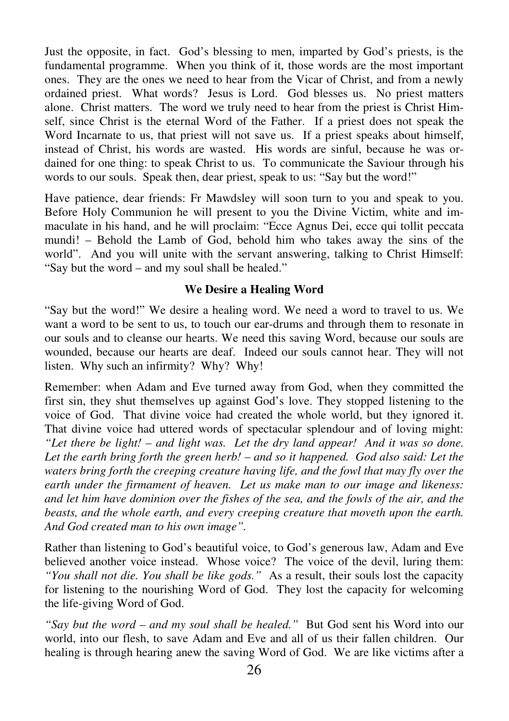Just the opposite, in fact. God's blessing to men, imparted by God's priests, is the fundamental programme. When you think of it, those words are the most important ones. They are the ones we need to hear from the Vicar of Christ, and from a newly ordained priest. What words? Jesus is Lord. God blesses us. No priest matters alone. Christ matters. The word we truly need to hear from the priest is Christ Himself, since Christ is the eternal Word of the Father. If a priest does not speak the Word Incarnate to us, that priest will not save us. If a priest speaks about himself, instead of Christ, his words are wasted. His words are sinful, because he was ordained for one thing: to speak Christ to us. To communicate the Saviour through his words to our souls. Speak then, dear priest, speak to us: "Say but the word!"

Have patience, dear friends: Fr Mawdsley will soon turn to you and speak to you. Before Holy Communion he will present to you the Divine Victim, white and immaculate in his hand, and he will proclaim: "Ecce Agnus Dei, ecce qui tollit peccata mundi! – Behold the Lamb of God, behold him who takes away the sins of the world". And you will unite with the servant answering, talking to Christ Himself: "Say but the word – and my soul shall be healed."

## **We Desire a Healing Word**

"Say but the word!" We desire a healing word. We need a word to travel to us. We want a word to be sent to us, to touch our ear-drums and through them to resonate in our souls and to cleanse our hearts. We need this saving Word, because our souls are wounded, because our hearts are deaf. Indeed our souls cannot hear. They will not listen. Why such an infirmity? Why? Why!

Remember: when Adam and Eve turned away from God, when they committed the first sin, they shut themselves up against God's love. They stopped listening to the voice of God. That divine voice had created the whole world, but they ignored it. That divine voice had uttered words of spectacular splendour and of loving might: *"Let there be light! – and light was. Let the dry land appear! And it was so done. Let the earth bring forth the green herb! – and so it happened. God also said: Let the waters bring forth the creeping creature having life, and the fowl that may fly over the earth under the firmament of heaven. Let us make man to our image and likeness: and let him have dominion over the fishes of the sea, and the fowls of the air, and the beasts, and the whole earth, and every creeping creature that moveth upon the earth. And God created man to his own image".* 

Rather than listening to God's beautiful voice, to God's generous law, Adam and Eve believed another voice instead. Whose voice? The voice of the devil, luring them: *"You shall not die. You shall be like gods."* As a result, their souls lost the capacity for listening to the nourishing Word of God. They lost the capacity for welcoming the life-giving Word of God.

*"Say but the word – and my soul shall be healed."* But God sent his Word into our world, into our flesh, to save Adam and Eve and all of us their fallen children. Our healing is through hearing anew the saving Word of God. We are like victims after a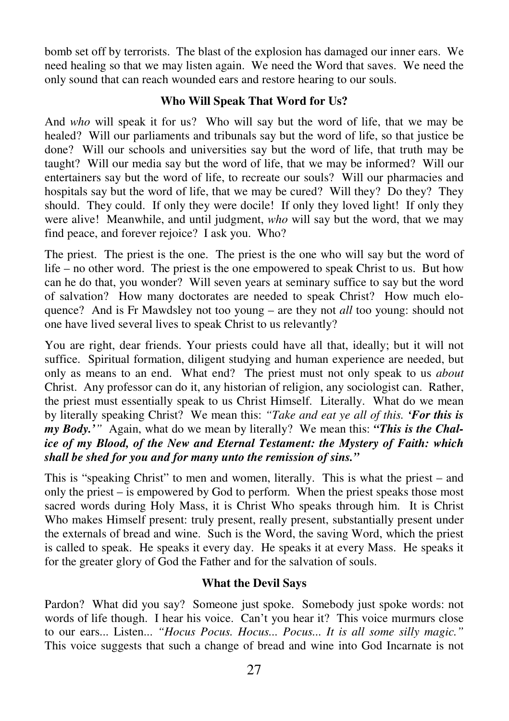bomb set off by terrorists. The blast of the explosion has damaged our inner ears. We need healing so that we may listen again. We need the Word that saves. We need the only sound that can reach wounded ears and restore hearing to our souls.

## **Who Will Speak That Word for Us?**

And *who* will speak it for us? Who will say but the word of life, that we may be healed? Will our parliaments and tribunals say but the word of life, so that justice be done? Will our schools and universities say but the word of life, that truth may be taught? Will our media say but the word of life, that we may be informed? Will our entertainers say but the word of life, to recreate our souls? Will our pharmacies and hospitals say but the word of life, that we may be cured? Will they? Do they? They should. They could. If only they were docile! If only they loved light! If only they were alive! Meanwhile, and until judgment, *who* will say but the word, that we may find peace, and forever rejoice? I ask you. Who?

The priest. The priest is the one. The priest is the one who will say but the word of life – no other word. The priest is the one empowered to speak Christ to us. But how can he do that, you wonder? Will seven years at seminary suffice to say but the word of salvation? How many doctorates are needed to speak Christ? How much eloquence? And is Fr Mawdsley not too young – are they not *all* too young: should not one have lived several lives to speak Christ to us relevantly?

You are right, dear friends. Your priests could have all that, ideally; but it will not suffice. Spiritual formation, diligent studying and human experience are needed, but only as means to an end. What end? The priest must not only speak to us *about* Christ. Any professor can do it, any historian of religion, any sociologist can. Rather, the priest must essentially speak to us Christ Himself. Literally. What do we mean by literally speaking Christ? We mean this: *"Take and eat ye all of this. 'For this is my Body.'"* Again, what do we mean by literally? We mean this: *"This is the Chalice of my Blood, of the New and Eternal Testament: the Mystery of Faith: which shall be shed for you and for many unto the remission of sins."*

This is "speaking Christ" to men and women, literally. This is what the priest – and only the priest – is empowered by God to perform. When the priest speaks those most sacred words during Holy Mass, it is Christ Who speaks through him. It is Christ Who makes Himself present: truly present, really present, substantially present under the externals of bread and wine. Such is the Word, the saving Word, which the priest is called to speak. He speaks it every day. He speaks it at every Mass. He speaks it for the greater glory of God the Father and for the salvation of souls.

## **What the Devil Says**

Pardon? What did you say? Someone just spoke. Somebody just spoke words: not words of life though. I hear his voice. Can't you hear it? This voice murmurs close to our ears... Listen... *"Hocus Pocus. Hocus... Pocus... It is all some silly magic."* This voice suggests that such a change of bread and wine into God Incarnate is not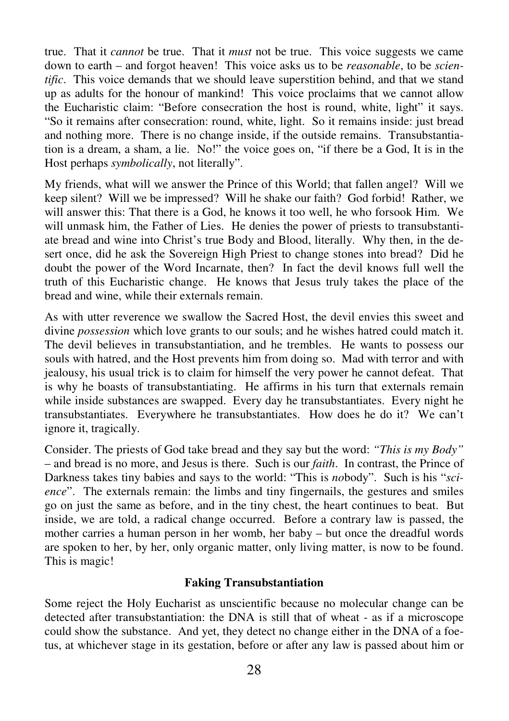true. That it *cannot* be true. That it *must* not be true. This voice suggests we came down to earth – and forgot heaven! This voice asks us to be *reasonable*, to be *scientific*. This voice demands that we should leave superstition behind, and that we stand up as adults for the honour of mankind! This voice proclaims that we cannot allow the Eucharistic claim: "Before consecration the host is round, white, light" it says. "So it remains after consecration: round, white, light. So it remains inside: just bread and nothing more. There is no change inside, if the outside remains. Transubstantiation is a dream, a sham, a lie. No!" the voice goes on, "if there be a God, It is in the Host perhaps *symbolically*, not literally".

My friends, what will we answer the Prince of this World; that fallen angel? Will we keep silent? Will we be impressed? Will he shake our faith? God forbid! Rather, we will answer this: That there is a God, he knows it too well, he who forsook Him. We will unmask him, the Father of Lies. He denies the power of priests to transubstantiate bread and wine into Christ's true Body and Blood, literally. Why then, in the desert once, did he ask the Sovereign High Priest to change stones into bread? Did he doubt the power of the Word Incarnate, then? In fact the devil knows full well the truth of this Eucharistic change. He knows that Jesus truly takes the place of the bread and wine, while their externals remain.

As with utter reverence we swallow the Sacred Host, the devil envies this sweet and divine *possession* which love grants to our souls; and he wishes hatred could match it. The devil believes in transubstantiation, and he trembles. He wants to possess our souls with hatred, and the Host prevents him from doing so. Mad with terror and with jealousy, his usual trick is to claim for himself the very power he cannot defeat. That is why he boasts of transubstantiating. He affirms in his turn that externals remain while inside substances are swapped. Every day he transubstantiates. Every night he transubstantiates. Everywhere he transubstantiates. How does he do it? We can't ignore it, tragically.

Consider. The priests of God take bread and they say but the word: *"This is my Body"* – and bread is no more, and Jesus is there. Such is our *faith*. In contrast, the Prince of Darkness takes tiny babies and says to the world: "This is *no*body". Such is his "*science*". The externals remain: the limbs and tiny fingernails, the gestures and smiles go on just the same as before, and in the tiny chest, the heart continues to beat. But inside, we are told, a radical change occurred. Before a contrary law is passed, the mother carries a human person in her womb, her baby – but once the dreadful words are spoken to her, by her, only organic matter, only living matter, is now to be found. This is magic!

## **Faking Transubstantiation**

Some reject the Holy Eucharist as unscientific because no molecular change can be detected after transubstantiation: the DNA is still that of wheat - as if a microscope could show the substance. And yet, they detect no change either in the DNA of a foetus, at whichever stage in its gestation, before or after any law is passed about him or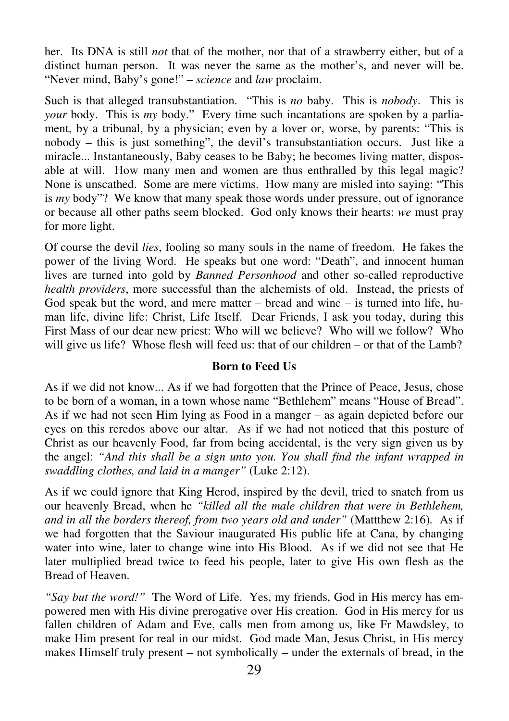her. Its DNA is still *not* that of the mother, nor that of a strawberry either, but of a distinct human person. It was never the same as the mother's, and never will be. "Never mind, Baby's gone!" – *science* and *law* proclaim.

Such is that alleged transubstantiation. "This is *no* baby. This is *nobody*. This is *your* body. This is *my* body." Every time such incantations are spoken by a parliament, by a tribunal, by a physician; even by a lover or, worse, by parents: "This is nobody – this is just something", the devil's transubstantiation occurs. Just like a miracle... Instantaneously, Baby ceases to be Baby; he becomes living matter, disposable at will. How many men and women are thus enthralled by this legal magic? None is unscathed. Some are mere victims. How many are misled into saying: "This is *my* body"? We know that many speak those words under pressure, out of ignorance or because all other paths seem blocked. God only knows their hearts: *we* must pray for more light.

Of course the devil *lies*, fooling so many souls in the name of freedom. He fakes the power of the living Word. He speaks but one word: "Death", and innocent human lives are turned into gold by *Banned Personhood* and other so-called reproductive *health providers*, more successful than the alchemists of old. Instead, the priests of God speak but the word, and mere matter  $-$  bread and wine  $-$  is turned into life, human life, divine life: Christ, Life Itself. Dear Friends, I ask you today, during this First Mass of our dear new priest: Who will we believe? Who will we follow? Who will give us life? Whose flesh will feed us: that of our children – or that of the Lamb?

## **Born to Feed Us**

As if we did not know... As if we had forgotten that the Prince of Peace, Jesus, chose to be born of a woman, in a town whose name "Bethlehem" means "House of Bread". As if we had not seen Him lying as Food in a manger – as again depicted before our eyes on this reredos above our altar. As if we had not noticed that this posture of Christ as our heavenly Food, far from being accidental, is the very sign given us by the angel: *"And this shall be a sign unto you. You shall find the infant wrapped in swaddling clothes, and laid in a manger"* (Luke 2:12).

As if we could ignore that King Herod, inspired by the devil, tried to snatch from us our heavenly Bread, when he *"killed all the male children that were in Bethlehem, and in all the borders thereof, from two years old and under"* (Mattthew 2:16)*.* As if we had forgotten that the Saviour inaugurated His public life at Cana, by changing water into wine, later to change wine into His Blood. As if we did not see that He later multiplied bread twice to feed his people, later to give His own flesh as the Bread of Heaven.

*"Say but the word!"* The Word of Life. Yes, my friends, God in His mercy has empowered men with His divine prerogative over His creation. God in His mercy for us fallen children of Adam and Eve, calls men from among us, like Fr Mawdsley, to make Him present for real in our midst. God made Man, Jesus Christ, in His mercy makes Himself truly present – not symbolically – under the externals of bread, in the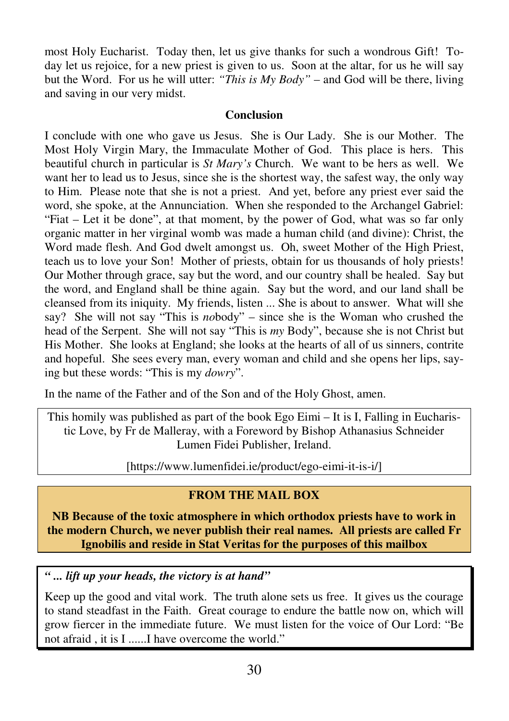most Holy Eucharist. Today then, let us give thanks for such a wondrous Gift! Today let us rejoice, for a new priest is given to us. Soon at the altar, for us he will say but the Word. For us he will utter: *"This is My Body"* – and God will be there, living and saving in our very midst.

## **Conclusion**

I conclude with one who gave us Jesus. She is Our Lady. She is our Mother. The Most Holy Virgin Mary, the Immaculate Mother of God. This place is hers. This beautiful church in particular is *St Mary's* Church. We want to be hers as well. We want her to lead us to Jesus, since she is the shortest way, the safest way, the only way to Him. Please note that she is not a priest. And yet, before any priest ever said the word, she spoke, at the Annunciation. When she responded to the Archangel Gabriel: "Fiat – Let it be done", at that moment, by the power of God, what was so far only organic matter in her virginal womb was made a human child (and divine): Christ, the Word made flesh. And God dwelt amongst us. Oh, sweet Mother of the High Priest, teach us to love your Son! Mother of priests, obtain for us thousands of holy priests! Our Mother through grace, say but the word, and our country shall be healed. Say but the word, and England shall be thine again. Say but the word, and our land shall be cleansed from its iniquity. My friends, listen ... She is about to answer. What will she say? She will not say "This is *no*body" – since she is the Woman who crushed the head of the Serpent. She will not say "This is *my* Body", because she is not Christ but His Mother. She looks at England; she looks at the hearts of all of us sinners, contrite and hopeful. She sees every man, every woman and child and she opens her lips, saying but these words: "This is my *dowry*".

In the name of the Father and of the Son and of the Holy Ghost, amen.

This homily was published as part of the book Ego Eimi – It is I, Falling in Eucharistic Love, by Fr de Malleray, with a Foreword by Bishop Athanasius Schneider Lumen Fidei Publisher, Ireland.

[https://www.lumenfidei.ie/product/ego-eimi-it-is-i/]

# **FROM THE MAIL BOX**

**NB Because of the toxic atmosphere in which orthodox priests have to work in the modern Church, we never publish their real names. All priests are called Fr Ignobilis and reside in Stat Veritas for the purposes of this mailbox** 

*" ... lift up your heads, the victory is at hand"* 

Keep up the good and vital work. The truth alone sets us free. It gives us the courage to stand steadfast in the Faith. Great courage to endure the battle now on, which will grow fiercer in the immediate future. We must listen for the voice of Our Lord: "Be not afraid , it is I ......I have overcome the world."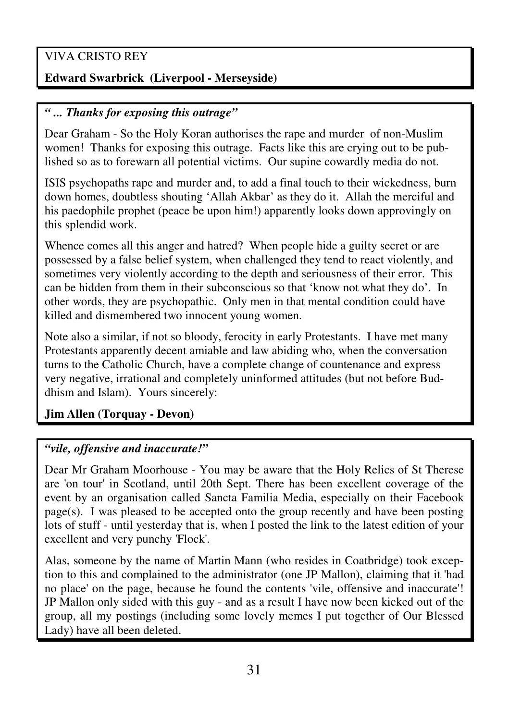# VIVA CRISTO REY

# **Edward Swarbrick (Liverpool - Merseyside)**

## *" ... Thanks for exposing this outrage"*

Dear Graham - So the Holy Koran authorises the rape and murder of non-Muslim women! Thanks for exposing this outrage. Facts like this are crying out to be published so as to forewarn all potential victims. Our supine cowardly media do not.

ISIS psychopaths rape and murder and, to add a final touch to their wickedness, burn down homes, doubtless shouting 'Allah Akbar' as they do it. Allah the merciful and his paedophile prophet (peace be upon him!) apparently looks down approvingly on this splendid work.

Whence comes all this anger and hatred? When people hide a guilty secret or are possessed by a false belief system, when challenged they tend to react violently, and sometimes very violently according to the depth and seriousness of their error. This can be hidden from them in their subconscious so that 'know not what they do'. In other words, they are psychopathic. Only men in that mental condition could have killed and dismembered two innocent young women.

Note also a similar, if not so bloody, ferocity in early Protestants. I have met many Protestants apparently decent amiable and law abiding who, when the conversation turns to the Catholic Church, have a complete change of countenance and express very negative, irrational and completely uninformed attitudes (but not before Buddhism and Islam). Yours sincerely:

## **Jim Allen (Torquay - Devon)**

## *"vile, offensive and inaccurate!"*

Dear Mr Graham Moorhouse - You may be aware that the Holy Relics of St Therese are 'on tour' in Scotland, until 20th Sept. There has been excellent coverage of the event by an organisation called Sancta Familia Media, especially on their Facebook  $page(s)$ . I was pleased to be accepted onto the group recently and have been posting lots of stuff - until yesterday that is, when I posted the link to the latest edition of your excellent and very punchy 'Flock'.

Alas, someone by the name of Martin Mann (who resides in Coatbridge) took exception to this and complained to the administrator (one JP Mallon), claiming that it 'had no place' on the page, because he found the contents 'vile, offensive and inaccurate'! JP Mallon only sided with this guy - and as a result I have now been kicked out of the group, all my postings (including some lovely memes I put together of Our Blessed Lady) have all been deleted.